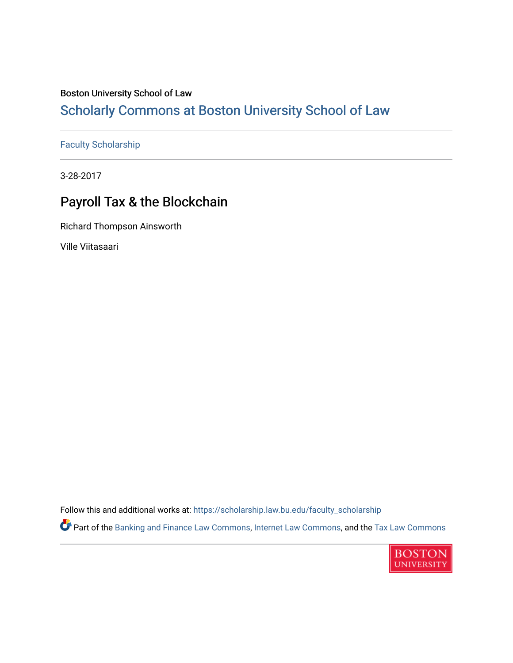# Boston University School of Law

# [Scholarly Commons at Boston University School of Law](https://scholarship.law.bu.edu/)

### [Faculty Scholarship](https://scholarship.law.bu.edu/faculty_scholarship)

3-28-2017

# Payroll Tax & the Blockchain

Richard Thompson Ainsworth

Ville Viitasaari

Follow this and additional works at: [https://scholarship.law.bu.edu/faculty\\_scholarship](https://scholarship.law.bu.edu/faculty_scholarship?utm_source=scholarship.law.bu.edu%2Ffaculty_scholarship%2F1415&utm_medium=PDF&utm_campaign=PDFCoverPages)

Part of the [Banking and Finance Law Commons,](http://network.bepress.com/hgg/discipline/833?utm_source=scholarship.law.bu.edu%2Ffaculty_scholarship%2F1415&utm_medium=PDF&utm_campaign=PDFCoverPages) [Internet Law Commons](http://network.bepress.com/hgg/discipline/892?utm_source=scholarship.law.bu.edu%2Ffaculty_scholarship%2F1415&utm_medium=PDF&utm_campaign=PDFCoverPages), and the [Tax Law Commons](http://network.bepress.com/hgg/discipline/898?utm_source=scholarship.law.bu.edu%2Ffaculty_scholarship%2F1415&utm_medium=PDF&utm_campaign=PDFCoverPages)

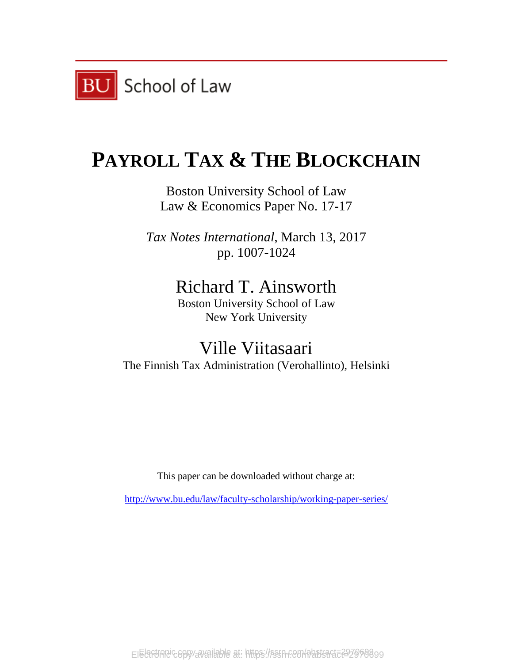

# **PAYROLL TAX & THE BLOCKCHAIN**

Boston University School of Law Law & Economics Paper No. 17-17

*Tax Notes International*, March 13, 2017 pp. 1007-1024

# Richard T. Ainsworth

Boston University School of Law New York University

Ville Viitasaari The Finnish Tax Administration (Verohallinto), Helsinki

This paper can be downloaded without charge at:

<http://www.bu.edu/law/faculty-scholarship/working-paper-series/>

EIElafunnic copy available at: https://ssrn.com/abstsact=227060899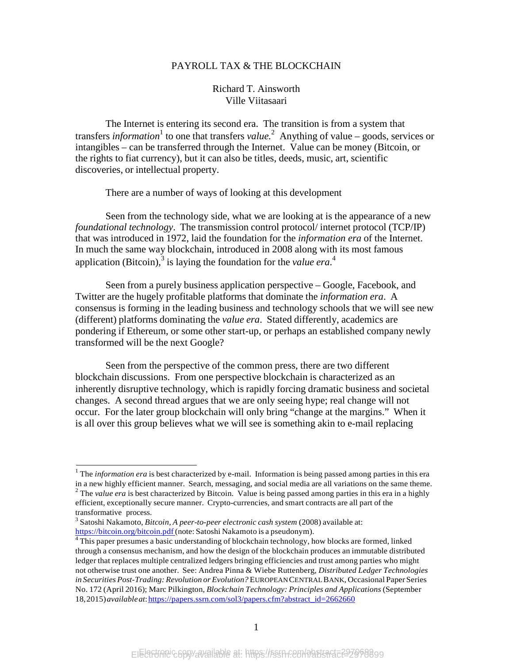#### PAYROLL TAX & THE BLOCKCHAIN

#### Richard T. Ainsworth Ville Viitasaari

The Internet is entering its second era. The transition is from a system that transfers *information*<sup>1</sup> to one that transfers *value*.<sup>2</sup> Anything of value – goods, services or intangibles – can be transferred through the Internet. Value can be money (Bitcoin, or the rights to fiat currency), but it can also be titles, deeds, music, art, scientific discoveries, or intellectual property.

There are a number of ways of looking at this development

Seen from the technology side, what we are looking at is the appearance of a new *foundational technology*. The transmission control protocol/ internet protocol (TCP/IP) that was introduced in 1972, laid the foundation for the *information era* of the Internet. In much the same way blockchain, introduced in 2008 along with its most famous application (Bitcoin),<sup>3</sup> is laying the foundation for the *value era*.<sup>4</sup>

Seen from a purely business application perspective – Google, Facebook, and Twitter are the hugely profitable platforms that dominate the *information era*. A consensus is forming in the leading business and technology schools that we will see new (different) platforms dominating the *value era*. Stated differently, academics are pondering if Ethereum, or some other start-up, or perhaps an established company newly transformed will be the next Google?

Seen from the perspective of the common press, there are two different blockchain discussions. From one perspective blockchain is characterized as an inherently disruptive technology, which is rapidly forcing dramatic business and societal changes. A second thread argues that we are only seeing hype; real change will not occur. For the later group blockchain will only bring "change at the margins." When it is all over this group believes what we will see is something akin to e-mail replacing

<sup>&</sup>lt;sup>1</sup> The *information era* is best characterized by e-mail. Information is being passed among parties in this era in a new highly efficient manner. Search, messaging, and social media are all variations on the same theme.  $\frac{1}{2}$  The *value era* is best characterized by Bitcoin. Value is being passed among parties in this era in a highly efficient, exceptionally secure manner. Crypto-currencies, and smart contracts are all part of the

transformative process. <sup>3</sup> Satoshi Nakamoto, *Bitcoin, <sup>A</sup> peer-to-peer electronic cash system* (2008) available at:

 $\textsuperscript{4}$  This paper presumes a basic understanding of blockchain technology, how blocks are formed, linked through a consensus mechanism, and how the design of the blockchain produces an immutable distributed ledger that replaces multiple centralized ledgers bringing efficiencies and trust among parties who might not otherwise trust one another. See: Andrea Pinna & Wiebe Ruttenberg, *Distributed Ledger Technologies in Securities Post-Trading: Revolution or Evolution?* EUROPEANCENTRALBANK, Occasional Paper Series No. 172 (April 2016); Marc Pilkington, *Blockchain Technology: Principles and Applications* (September 18,2015)*availableat*:https://papers.ssrn.com/sol3/papers.cfm?abstract\_id=2662660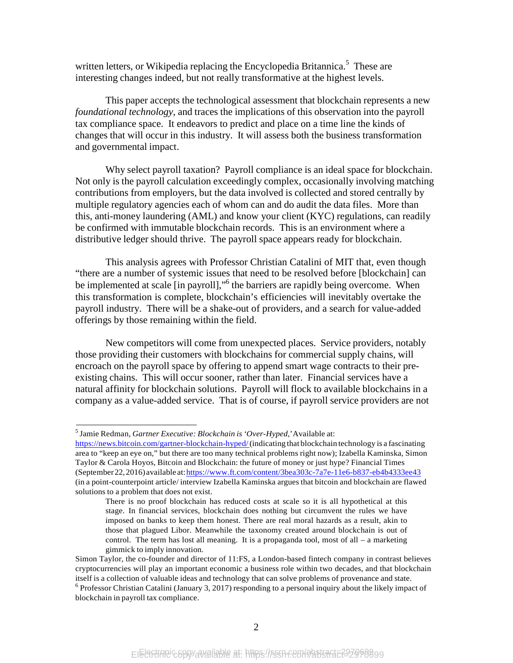written letters, or Wikipedia replacing the Encyclopedia Britannica.<sup>5</sup> These are interesting changes indeed, but not really transformative at the highest levels.

This paper accepts the technological assessment that blockchain represents a new *foundational technology*, and traces the implications of this observation into the payroll tax compliance space. It endeavors to predict and place on a time line the kinds of changes that will occur in this industry. It will assess both the business transformation and governmental impact.

Why select payroll taxation? Payroll compliance is an ideal space for blockchain. Not only is the payroll calculation exceedingly complex, occasionally involving matching contributions from employers, but the data involved is collected and stored centrally by multiple regulatory agencies each of whom can and do audit the data files. More than this, anti-money laundering (AML) and know your client (KYC) regulations, can readily be confirmed with immutable blockchain records. This is an environment where a distributive ledger should thrive. The payroll space appears ready for blockchain.

This analysis agrees with Professor Christian Catalini of MIT that, even though "there are a number of systemic issues that need to be resolved before [blockchain] can be implemented at scale [in payroll],"<sup>6</sup> the barriers are rapidly being overcome. When this transformation is complete, blockchain's efficiencies will inevitably overtake the payroll industry. There will be a shake-out of providers, and a search for value-added offerings by those remaining within the field.

New competitors will come from unexpected places. Service providers, notably those providing their customers with blockchains for commercial supply chains, will encroach on the payroll space by offering to append smart wage contracts to their preexisting chains. This will occur sooner, rather than later. Financial services have a natural affinity for blockchain solutions. Payroll will flock to available blockchains in a company as a value-added service. That is of course, if payroll service providers are not

<sup>5</sup> Jamie Redman, *Gartner Executive: Blockchain is'Over-Hyped*,'Available at:

https://news.bitcoin.com/gartner-blockchain-hyped/(indicating that blockchain technology is a fascinating area to "keep an eye on," but there are too many technical problems right now); Izabella Kaminska, Simon Taylor & Carola Hoyos, Bitcoin and Blockchain: the future of money or just hype? Financial Times (September22,2016)available at:https:/[/www.ft.com/content/3bea303c-7a7e-11e6-b837-eb4b4333ee43](http://www.ft.com/content/3bea303c-7a7e-11e6-b837-eb4b4333ee43) (in a point-counterpoint article/ interview Izabella Kaminska argues that bitcoin and blockchain are flawed solutions to a problem that does not exist.

There is no proof blockchain has reduced costs at scale so it is all hypothetical at this stage. In financial services, blockchain does nothing but circumvent the rules we have imposed on banks to keep them honest. There are real moral hazards as a result, akin to those that plagued Libor. Meanwhile the taxonomy created around blockchain is out of control. The term has lost all meaning. It is a propaganda tool, most of all – a marketing gimmick to imply innovation.

Simon Taylor, the co-founder and director of 11:FS, a London-based fintech company in contrast believes cryptocurrencies will play an important economic a business role within two decades, and that blockchain itself is a collection of valuable ideas and technology that can solve problems of provenance and state.  $6$  Professor Christian Catalini (January 3, 2017) responding to a personal inquiry about the likely impact of blockchain in payroll tax compliance.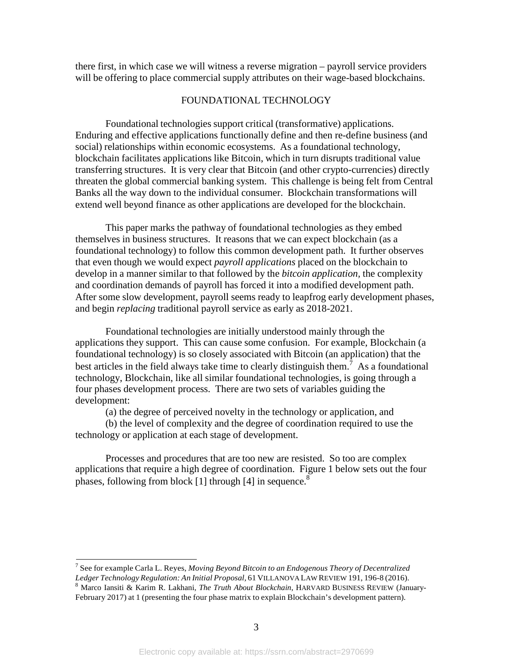there first, in which case we will witness a reverse migration – payroll service providers will be offering to place commercial supply attributes on their wage-based blockchains.

#### FOUNDATIONAL TECHNOLOGY

Foundational technologies support critical (transformative) applications. Enduring and effective applications functionally define and then re-define business (and social) relationships within economic ecosystems. As a foundational technology, blockchain facilitates applications like Bitcoin, which in turn disrupts traditional value transferring structures. It is very clear that Bitcoin (and other crypto-currencies) directly threaten the global commercial banking system. This challenge is being felt from Central Banks all the way down to the individual consumer. Blockchain transformations will extend well beyond finance as other applications are developed for the blockchain.

This paper marks the pathway of foundational technologies as they embed themselves in business structures. It reasons that we can expect blockchain (as a foundational technology) to follow this common development path. It further observes that even though we would expect *payroll applications* placed on the blockchain to develop in a manner similar to that followed by the *bitcoin application,* the complexity and coordination demands of payroll has forced it into a modified development path. After some slow development, payroll seems ready to leapfrog early development phases, and begin *replacing* traditional payroll service as early as 2018-2021.

Foundational technologies are initially understood mainly through the applications they support. This can cause some confusion. For example, Blockchain (a foundational technology) is so closely associated with Bitcoin (an application) that the best articles in the field always take time to clearly distinguish them.<sup>7</sup> As a foundational technology, Blockchain, like all similar foundational technologies, is going through a four phases development process. There are two sets of variables guiding the development:

(a) the degree of perceived novelty in the technology or application, and

(b) the level of complexity and the degree of coordination required to use the technology or application at each stage of development.

Processes and procedures that are too new are resisted. So too are complex applications that require a high degree of coordination. Figure 1 below sets out the four phases, following from block [1] through [4] in sequence.<sup>8</sup>

<sup>7</sup> See for example Carla L. Reyes, *Moving Beyond Bitcoin to an Endogenous Theory of Decentralized*

<sup>&</sup>lt;sup>8</sup> Marco Iansiti & Karim R. Lakhani, The Truth About Blockchain, HARVARD BUSINESS REVIEW (January-February 2017) at 1 (presenting the four phase matrix to explain Blockchain's development pattern).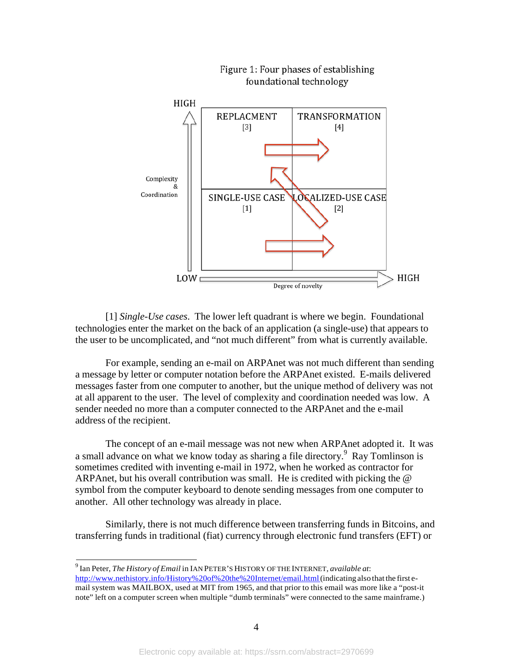

[1] *Single-Use cases*. The lower left quadrant is where we begin. Foundational technologies enter the market on the back of an application (a single-use) that appears to the user to be uncomplicated, and "not much different" from what is currently available.

For example, sending an e-mail on ARPAnet was not much different than sending a message by letter or computer notation before the ARPAnet existed. E-mails delivered messages faster from one computer to another, but the unique method of delivery was not at all apparent to the user. The level of complexity and coordination needed was low. A sender needed no more than a computer connected to the ARPAnet and the e-mail address of the recipient.

The concept of an e-mail message was not new when ARPAnet adopted it. It was a small advance on what we know today as sharing a file directory.9 Ray Tomlinson is sometimes credited with inventing e-mail in 1972, when he worked as contractor for ARPAnet, but his overall contribution was small. He is credited with picking the @ symbol from the computer keyboard to denote sending messages from one computer to another. All other technology was already in place.

Similarly, there is not much difference between transferring funds in Bitcoins, and transferring funds in traditional (fiat) currency through electronic fund transfers (EFT) or

<sup>9</sup> Ian Peter, *The History of Email* in IAN PETER'S HISTORY OF THE INTERNET, *available at*:

[http://www.nethistory.info/History%20of%20the%20Internet/email.html\(](http://www.nethistory.info/History%20of%20the%20Internet/email.html)indicating also that the first email system was MAILBOX, used at MIT from 1965, and that prior to this email was more like a "post-it note" left on a computer screen when multiple "dumb terminals" were connected to the same mainframe.)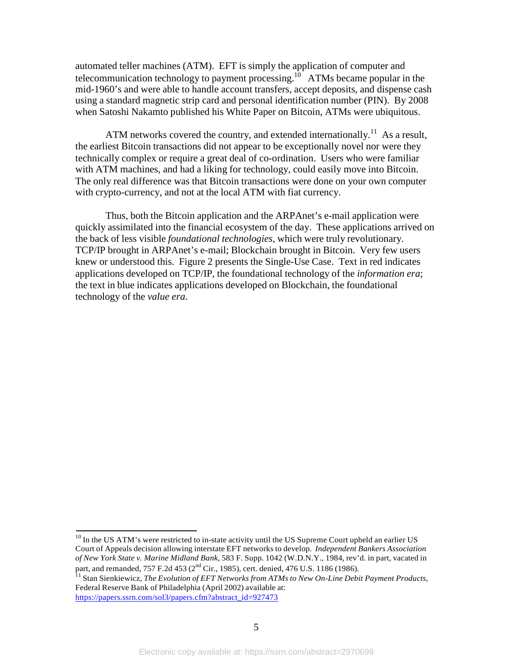automated teller machines (ATM). EFT is simply the application of computer and telecommunication technology to payment processing.<sup>10</sup> ATMs became popular in the mid-1960's and were able to handle account transfers, accept deposits, and dispense cash using a standard magnetic strip card and personal identification number (PIN). By 2008 when Satoshi Nakamto published his White Paper on Bitcoin, ATMs were ubiquitous.

ATM networks covered the country, and extended internationally.<sup>11</sup> As a result, the earliest Bitcoin transactions did not appear to be exceptionally novel nor were they technically complex or require a great deal of co-ordination. Users who were familiar with ATM machines, and had a liking for technology, could easily move into Bitcoin. The only real difference was that Bitcoin transactions were done on your own computer with crypto-currency, and not at the local ATM with fiat currency.

Thus, both the Bitcoin application and the ARPAnet's e-mail application were quickly assimilated into the financial ecosystem of the day. These applications arrived on the back of less visible *foundational technologies*, which were truly revolutionary. TCP/IP brought in ARPAnet's e-mail; Blockchain brought in Bitcoin. Very few users knew or understood this. Figure 2 presents the Single-Use Case. Text in red indicates applications developed on TCP/IP, the foundational technology of the *information era*; the text in blue indicates applications developed on Blockchain, the foundational technology of the *value era*.

<sup>&</sup>lt;sup>10</sup> In the US ATM's were restricted to in-state activity until the US Supreme Court upheld an earlier US Court of Appeals decision allowing interstate EFT networks to develop. *Independent Bankers Association of New York State v. Marine Midland Bank*, 583 F. Supp. 1042 (W.D.N.Y., 1984, rev'd. in part, vacated in part, and remanded, 757 F.2d 453 (2<sup>nd</sup> Cir., 1985), cert. denied, 476 U.S. 1186 (1986).<br><sup>11</sup> Stan Sienkiewicz, *The Evolution of EFT Networks from ATMs to New On-Line Debit Payment Products*,

Federal Reserve Bank of Philadelphia (April 2002) available at: https://papers.ssrn.com/sol3/papers.cfm?abstract\_id=927473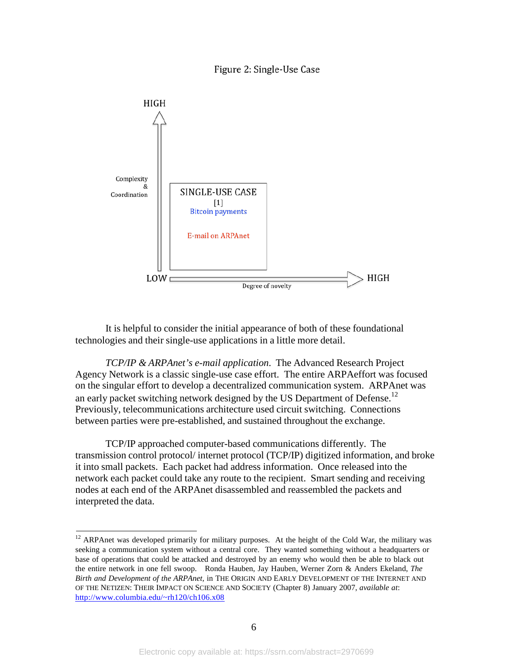Figure 2: Single-Use Case



It is helpful to consider the initial appearance of both of these foundational technologies and their single-use applications in a little more detail.

*TCP/IP & ARPAnet's e-mail application*. The Advanced Research Project Agency Network is a classic single-use case effort. The entire ARPAeffort was focused on the singular effort to develop a decentralized communication system. ARPAnet was an early packet switching network designed by the US Department of Defense.<sup>12</sup> Previously, telecommunications architecture used circuit switching. Connections between parties were pre-established, and sustained throughout the exchange.

TCP/IP approached computer-based communications differently. The transmission control protocol/ internet protocol (TCP/IP) digitized information, and broke it into small packets. Each packet had address information. Once released into the network each packet could take any route to the recipient. Smart sending and receiving nodes at each end of the ARPAnet disassembled and reassembled the packets and interpreted the data.

<sup>&</sup>lt;sup>12</sup> ARPAnet was developed primarily for military purposes. At the height of the Cold War, the military was seeking a communication system without a central core. They wanted something without a headquarters or base of operations that could be attacked and destroyed by an enemy who would then be able to black out the entire network in one fell swoop. Ronda Hauben, Jay Hauben, Werner Zorn & Anders Ekeland, *The Birth and Development of the ARPAnet,* in THE ORIGIN AND EARLY DEVELOPMENT OF THE INTERNET AND OF THE NETIZEN: THEIR IMPACT ON SCIENCE AND SOCIETY (Chapter 8) January 2007, *available at*: [http://www.columbia.edu/~rh120/ch106.x08](http://www.columbia.edu/%7Erh120/ch106.x08)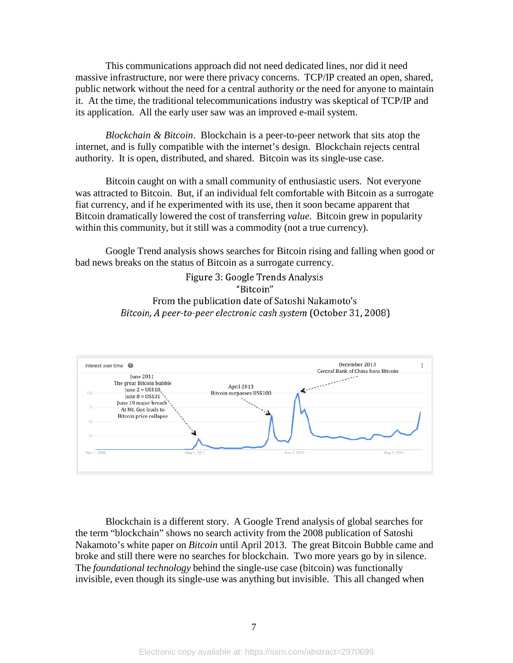This communications approach did not need dedicated lines, nor did it need massive infrastructure, nor were there privacy concerns. TCP/IP created an open, shared, public network without the need for a central authority or the need for anyone to maintain it. At the time, the traditional telecommunications industry was skeptical of TCP/IP and its application. All the early user saw was an improved e-mail system.

*Blockchain & Bitcoin*. Blockchain is a peer-to-peer network that sits atop the internet, and is fully compatible with the internet's design. Blockchain rejects central authority. It is open, distributed, and shared. Bitcoin was its single-use case.

Bitcoin caught on with a small community of enthusiastic users. Not everyone was attracted to Bitcoin. But, if an individual felt comfortable with Bitcoin as a surrogate fiat currency, and if he experimented with its use, then it soon became apparent that Bitcoin dramatically lowered the cost of transferring *value*. Bitcoin grew in popularity within this community, but it still was a commodity (not a true currency).

Google Trend analysis shows searches for Bitcoin rising and falling when good or bad news breaks on the status of Bitcoin as a surrogate currency.

> Figure 3: Google Trends Analysis "Bitcoin" From the publication date of Satoshi Nakamoto's Bitcoin, A peer-to-peer electronic cash system (October 31, 2008)



Blockchain is a different story. A Google Trend analysis of global searches for the term "blockchain" shows no search activity from the 2008 publication of Satoshi Nakamoto's white paper on *Bitcoin* until April 2013. The great Bitcoin Bubble came and broke and still there were no searches for blockchain. Two more years go by in silence. The *foundational technology* behind the single-use case (bitcoin) was functionally invisible, even though its single-use was anything but invisible. This all changed when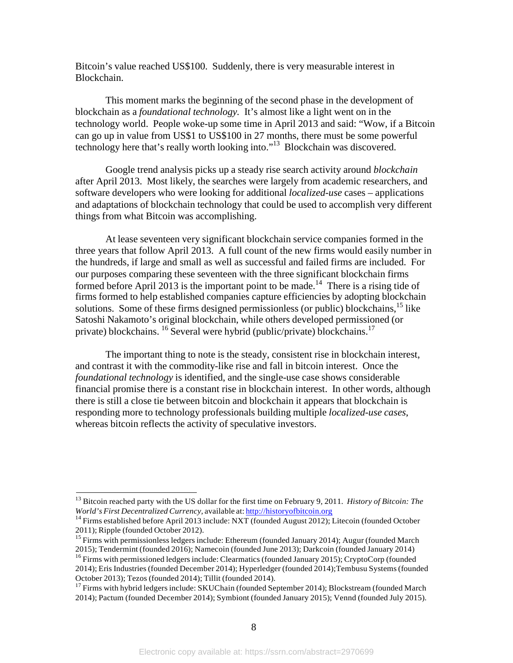Bitcoin's value reached US\$100. Suddenly, there is very measurable interest in Blockchain.

This moment marks the beginning of the second phase in the development of blockchain as a *foundational technology.* It's almost like a light went on in the technology world. People woke-up some time in April 2013 and said: "Wow, if a Bitcoin can go up in value from US\$1 to US\$100 in 27 months, there must be some powerful technology here that's really worth looking into."<sup>13</sup> Blockchain was discovered.

Google trend analysis picks up a steady rise search activity around *blockchain*  after April 2013. Most likely, the searches were largely from academic researchers, and software developers who were looking for additional *localized-use* cases – applications and adaptations of blockchain technology that could be used to accomplish very different things from what Bitcoin was accomplishing.

At lease seventeen very significant blockchain service companies formed in the three years that follow April 2013. A full count of the new firms would easily number in the hundreds, if large and small as well as successful and failed firms are included. For our purposes comparing these seventeen with the three significant blockchain firms formed before April 2013 is the important point to be made.<sup>14</sup> There is a rising tide of firms formed to help established companies capture efficiencies by adopting blockchain solutions. Some of these firms designed permissionless (or public) blockchains,  $^{15}$  like Satoshi Nakamoto's original blockchain, while others developed permissioned (or private) blockchains. <sup>16</sup> Several were hybrid (public/private) blockchains.<sup>17</sup>

The important thing to note is the steady, consistent rise in blockchain interest, and contrast it with the commodity-like rise and fall in bitcoin interest. Once the *foundational technology* is identified, and the single-use case shows considerable financial promise there is a constant rise in blockchain interest. In other words, although there is still a close tie between bitcoin and blockchain it appears that blockchain is responding more to technology professionals building multiple *localized-use cases*, whereas bitcoin reflects the activity of speculative investors.

<sup>&</sup>lt;sup>13</sup> Bitcoin reached party with the US dollar for the first time on February 9, 2011. *History of Bitcoin: The World's First Decentralized Currency*, available at: **http://historyofbitcoin.org** 

<sup>&</sup>lt;sup>14</sup> Firms established before April 2013 include: NXT (founded August 2012); Litecoin (founded October 2011); Ripple (founded October 2012).

<sup>&</sup>lt;sup>15</sup> Firms with permissionless ledgers include: Ethereum (founded January 2014); Augur (founded March 2015); Tendermint (founded 2016); Namecoin (founded June 2013); Darkcoin (founded January 2014)

<sup>&</sup>lt;sup>16</sup> Firms with permissioned ledgers include: Clearmatics (founded January 2015); CryptoCorp (founded 2014); Eris Industries (founded December 2014); Hyperledger (founded 2014); Tembusu Systems (founded October 2013); Tezos (founded 2014); Tillit (founded 2014).

<sup>&</sup>lt;sup>17</sup> Firms with hybrid ledgers include: SKUChain (founded September 2014); Blockstream (founded March 2014); Pactum (founded December 2014); Symbiont (founded January 2015); Vennd (founded July 2015).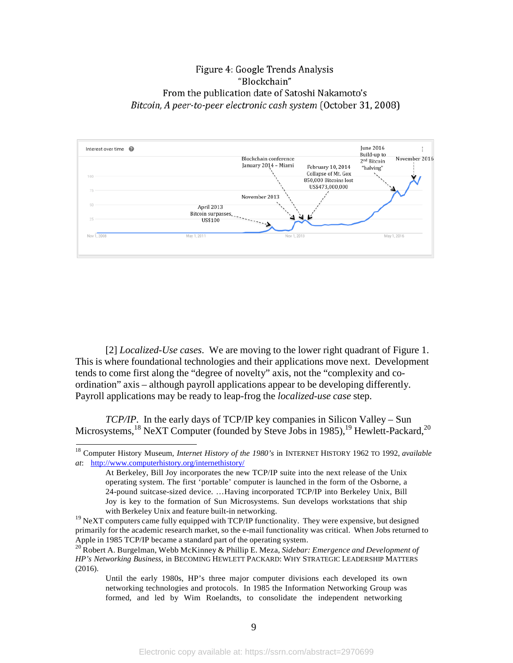## Figure 4: Google Trends Analysis "Blockchain" From the publication date of Satoshi Nakamoto's Bitcoin, A peer-to-peer electronic cash system (October 31, 2008)



[2] *Localized-Use cases*. We are moving to the lower right quadrant of Figure 1. This is where foundational technologies and their applications move next. Development tends to come first along the "degree of novelty" axis, not the "complexity and coordination" axis – although payroll applications appear to be developing differently. Payroll applications may be ready to leap-frog the *localized-use case* step.

*TCP/IP*. In the early days of TCP/IP key companies in Silicon Valley – Sun Microsystems,<sup>18</sup> NeXT Computer (founded by Steve Jobs in 1985),<sup>19</sup> Hewlett-Packard,<sup>20</sup>

Until the early 1980s, HP's three major computer divisions each developed its own networking technologies and protocols. In 1985 the Information Networking Group was formed, and led by Wim Roelandts, to consolidate the independent networking

<sup>18</sup> Computer History Museum, *Internet History of the 1980's* in INTERNET HISTORY 1962 TO 1992, *available at*: <http://www.computerhistory.org/internethistory/>

At Berkeley, Bill Joy incorporates the new TCP/IP suite into the next release of the Unix operating system. The first 'portable' computer is launched in the form of the Osborne, a 24-pound suitcase-sized device. …Having incorporated TCP/IP into Berkeley Unix, Bill Joy is key to the formation of Sun Microsystems. Sun develops workstations that ship with Berkeley Unix and feature built-in networking.

 $19$  NeXT computers came fully equipped with TCP/IP functionality. They were expensive, but designed primarily for the academic research market, so the e-mail functionality was critical. When Jobs returned to Apple in 1985 TCP/IP became a standard part of the operating system.

<sup>&</sup>lt;sup>20</sup> Robert A. Burgelman, Webb McKinney & Phillip E. Meza, *Sidebar: Emergence and Development of HP's Networking Business*, in BECOMING HEWLETT PACKARD: WHY STRATEGIC LEADERSHIP MATTERS (2016).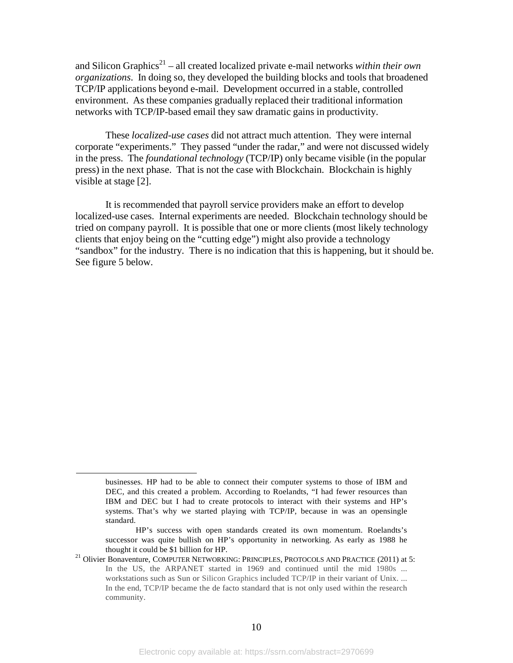and Silicon Graphics<sup>21</sup> – all created localized private e-mail networks *within their own organizations*. In doing so, they developed the building blocks and tools that broadened TCP/IP applications beyond e-mail. Development occurred in a stable, controlled environment. As these companies gradually replaced their traditional information networks with TCP/IP-based email they saw dramatic gains in productivity.

These *localized-use cases* did not attract much attention. They were internal corporate "experiments." They passed "under the radar," and were not discussed widely in the press. The *foundational technology* (TCP/IP) only became visible (in the popular press) in the next phase. That is not the case with Blockchain. Blockchain is highly visible at stage [2].

It is recommended that payroll service providers make an effort to develop localized-use cases. Internal experiments are needed. Blockchain technology should be tried on company payroll. It is possible that one or more clients (most likely technology clients that enjoy being on the "cutting edge") might also provide a technology "sandbox" for the industry. There is no indication that this is happening, but it should be. See figure 5 below.

businesses. HP had to be able to connect their computer systems to those of IBM and DEC, and this created a problem. According to Roelandts, "I had fewer resources than IBM and DEC but I had to create protocols to interact with their systems and HP's systems. That's why we started playing with TCP/IP, because in was an opensingle standard.

HP's success with open standards created its own momentum. Roelandts's successor was quite bullish on HP's opportunity in networking. As early as 1988 he thought it could be \$1 billion for HP.<br><sup>21</sup> Olivier Bonaventure, COMPUTER NETWORKING: PRINCIPLES, PROTOCOLS AND PRACTICE (2011) at 5:

In the US, the ARPANET started in 1969 and continued until the mid 1980s ... workstations such as Sun or Silicon Graphics included TCP/IP in their variant of Unix. ... In the end, TCP/IP became the de facto standard that is not only used within the research community.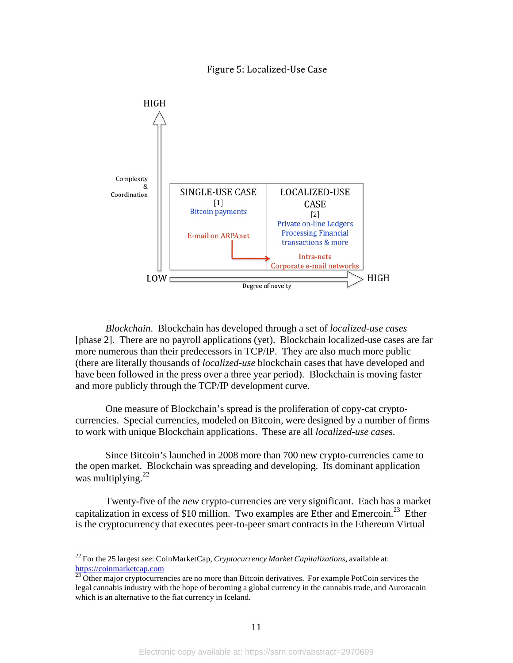#### Figure 5: Localized-Use Case



*Blockchain*. Blockchain has developed through a set of *localized-use cases*  [phase 2]. There are no payroll applications (yet). Blockchain localized-use cases are far more numerous than their predecessors in TCP/IP. They are also much more public (there are literally thousands of *localized-use* blockchain cases that have developed and have been followed in the press over a three year period). Blockchain is moving faster and more publicly through the TCP/IP development curve.

One measure of Blockchain's spread is the proliferation of copy-cat cryptocurrencies. Special currencies, modeled on Bitcoin, were designed by a number of firms to work with unique Blockchain applications. These are all *localized-use case*s.

Since Bitcoin's launched in 2008 more than 700 new crypto-currencies came to the open market. Blockchain was spreading and developing. Its dominant application was multiplying. $^{22}$ 

Twenty-five of the *new* crypto-currencies are very significant. Each has a market capitalization in excess of \$10 million. Two examples are Ether and Emercoin.23 Ether is the cryptocurrency that executes peer-to-peer smart contracts in the Ethereum Virtual

<sup>22</sup> For the 25 largest *see*: CoinMarketCap, *Cryptocurrency Market Capitalizations*, available at: https://coinmarketcap.com

<sup>23</sup> Other major cryptocurrencies are no more than Bitcoin derivatives. For example PotCoin services the legal cannabis industry with the hope of becoming a global currency in the cannabis trade, and Auroracoin which is an alternative to the fiat currency in Iceland.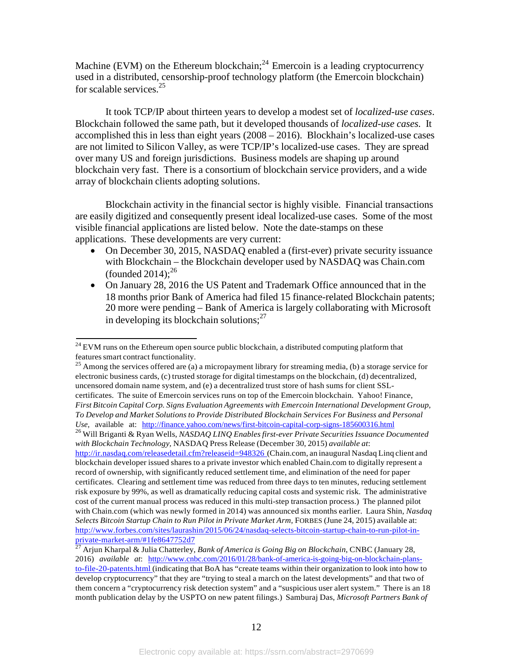Machine (EVM) on the Ethereum blockchain;<sup>24</sup> Emercoin is a leading cryptocurrency used in a distributed, censorship-proof technology platform (the Emercoin blockchain) for scalable services.<sup>25</sup>

It took TCP/IP about thirteen years to develop a modest set of *localized-use cases*. Blockchain followed the same path, but it developed thousands of *localized-use cases.* It accomplished this in less than eight years (2008 – 2016). Blockhain's localized-use cases are not limited to Silicon Valley, as were TCP/IP's localized-use cases. They are spread over many US and foreign jurisdictions. Business models are shaping up around blockchain very fast. There is a consortium of blockchain service providers, and a wide array of blockchain clients adopting solutions.

Blockchain activity in the financial sector is highly visible. Financial transactions are easily digitized and consequently present ideal localized-use cases. Some of the most visible financial applications are listed below. Note the date-stamps on these applications. These developments are very current:

- On December 30, 2015, NASDAQ enabled a (first-ever) private security issuance with Blockchain – the Blockchain developer used by NASDAQ was Chain.com (founded  $2014$ );<sup>26</sup>
- On January 28, 2016 the US Patent and Trademark Office announced that in the 18 months prior Bank of America had filed 15 finance-related Blockchain patents; 20 more were pending – Bank of America is largely collaborating with Microsoft in developing its blockchain solutions; $^{27}$

 $^{24}$  EVM runs on the Ethereum open source public blockchain, a distributed computing platform that features smart contract functionality.

<sup>&</sup>lt;sup>25</sup> Among the services offered are (a) a micropayment library for streaming media, (b) a storage service for electronic business cards, (c) trusted storage for digital timestamps on the blockchain, (d) decentralized, uncensored domain name system, and (e) a decentralized trust store of hash sums for client SSLcertificates. The suite of Emercoin services runs on top of the Emercoin blockchain. Yahoo! Finance, *First Bitcoin Capital Corp. Signs Evaluation Agreements with Emercoin International Development Group, To Develop and Market Solutions to Provide Distributed Blockchain Services For Business and Personal*

<sup>&</sup>lt;sup>26</sup> Will Briganti & Ryan Wells, *NASDAQ LINQ Enables first-ever Private Securities Issuance Documented with Blockchain Technology,* NASDAQ Press Release (December 30, 2015) *available at*: <http://ir.nasdaq.com/releasedetail.cfm?releaseid=948326> (Chain.com, an inaugural Nasdaq Linq client and blockchain developer issued shares to a private investor which enabled Chain.com to digitally represent a record of ownership, with significantly reduced settlement time, and elimination of the need for paper certificates. Clearing and settlement time was reduced from three days to ten minutes, reducing settlement risk exposure by 99%, as well as dramatically reducing capital costs and systemic risk. The administrative cost of the current manual process was reduced in this multi-step transaction process.) The planned pilot with Chain.com (which was newly formed in 2014) was announced six months earlier. Laura Shin, *Nasdaq Selects Bitcoin Startup Chain to Run Pilot in Private Market Arm,* FORBES (June 24, 2015) available at: [http://www.forbes.com/sites/laurashin/2015/06/24/nasdaq-selects-bitcoin-startup-chain-to-run-pilot-in](http://www.forbes.com/sites/laurashin/2015/06/24/nasdaq-selects-bitcoin-startup-chain-to-run-pilot-in-)private-market-arm/#1fe8647752d7 <sup>27</sup> Arjun Kharpal & Julia Chatterley, *Bank of America is Going Big on Blockchain*, CNBC (January 28,

<sup>2016)</sup> *available at*: [http://www.cnbc.com/2016/01/28/bank-of-america-is-going-big-on-blockchain-plans](http://www.cnbc.com/2016/01/28/bank-of-america-is-going-big-on-blockchain-plans-)to-file-20-patents.html (indicating that BoA has "create teams within their organization to look into how to develop cryptocurrency" that they are "trying to steal a march on the latest developments" and that two of them concern a "cryptocurrency risk detection system" and a "suspicious user alert system." There is an 18 month publication delay by the USPTO on new patent filings.) Samburaj Das, *Microsoft Partners Bank of*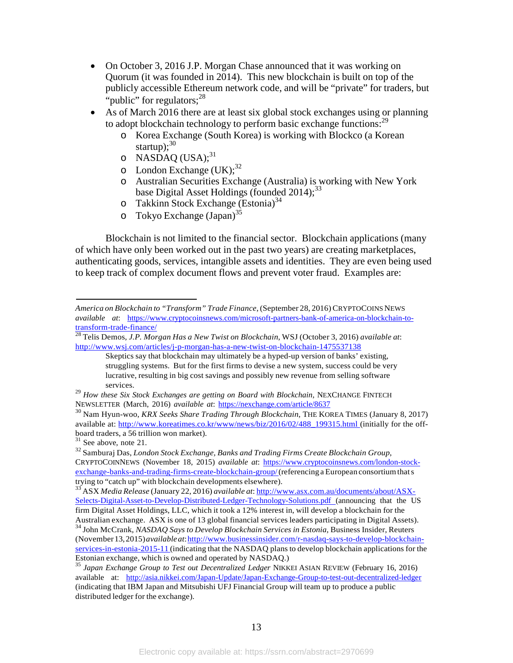- On October 3, 2016 J.P. Morgan Chase announced that it was working on Quorum (it was founded in 2014). This new blockchain is built on top of the publicly accessible Ethereum network code, and will be "private" for traders, but "public" for regulators;  $28$
- As of March 2016 there are at least six global stock exchanges using or planning to adopt blockchain technology to perform basic exchange functions:<sup>29</sup>
	- o Korea Exchange (South Korea) is working with Blockco (a Korean startup); $30$
	- o NASDAQ  $(USA);^{31}$
	- $\circ$  London Exchange (UK);<sup>32</sup>
	- o Australian Securities Exchange (Australia) is working with New York base Digital Asset Holdings (founded  $2014$ );<sup>33</sup>
	- $\circ$  Takkinn Stock Exchange (Estonia)<sup>34</sup>
	- $\circ$  Tokyo Exchange (Japan)<sup>35</sup>

Blockchain is not limited to the financial sector. Blockchain applications (many of which have only been worked out in the past two years) are creating marketplaces, authenticating goods, services, intangible assets and identities. They are even being used to keep track of complex document flows and prevent voter fraud. Examples are:

*America on Blockchain to "Transform" Trade Finance*, (September 28, 2016) CRYPTOCOINSNEWS *available at*: https:/[/www.cryptocoinsnews.com/microsoft-partners-bank-of-america-on-blockchain-to-](http://www.cryptocoinsnews.com/microsoft-partners-bank-of-america-on-blockchain-to-)

transform-trade-finance/ <sup>28</sup> Telis Demos, *J.P. Morgan Has <sup>a</sup> New Twist on Blockchain*, WSJ (October 3, 2016) *available at*: <http://www.wsj.com/articles/j-p-morgan-has-a-new-twist-on-blockchain-1475537138>

Skeptics say that blockchain may ultimately be a hyped-up version of banks' existing, struggling systems. But for the first firms to devise a new system, success could be very lucrative, resulting in big cost savings and possibly new revenue from selling software services.

<sup>29</sup> *How these Six Stock Exchanges are getting on Board with Blockchain*, NEXCHANGE FINTECH NEWSLETTER (March, 2016) *available at*: https://nexchange.com/article/8637

<sup>30</sup> Nam Hyun-woo, *KRX Seeks Share Trading Through Blockchain*, THE KOREA TIMES (January 8, 2017) available at: [http://www.koreatimes.co.kr/www/news/biz/2016/02/488\\_199315.html](http://www.koreatimes.co.kr/www/news/biz/2016/02/488_199315.html) (initially for the offboard traders, a 56 trillion won market).<br><sup>31</sup> See above, note 21.

<sup>32</sup> Samburaj Das, *London Stock Exchange, Banks and Trading Firms Create Blockchain Group*, CRYPTOCOINNEWS (November 18, 2015) *available at*: https:[//www.cryptocoinsnews.com/london-stock](http://www.cryptocoinsnews.com/london-stock-)exchange-banks-and-trading-firms-create-blockchain-group/(referencing a European consortium that s<br>trying to "catch up" with blockchain developments elsewhere).

tryckchain developments of the Up to the Up to the Up to the trying to the Up to Associate and Associates and A<br>ASX *Media Release* (January 22, 2016) *available at*: <http://www.asx.com.au/documents/about/ASX->Selects-Digital-Asset-to-Develop-Distributed-Ledger-Technology-Solutions.pdf (announcing that the US firm Digital Asset Holdings, LLC, which it took a 12% interest in, will develop a blockchain for the Australian exchange. ASX is one of 13 global financial services leaders participating in Digital Assets).

<sup>&</sup>lt;sup>34</sup> John McCrank, NASDAQ Says to Develop Blockchain Services in Estonia, Business Insider, Reuters (November13,2015)*availableat*[:http://www.businessinsider.com/r-nasdaq-says-to-develop-blockchain](http://www.businessinsider.com/r-nasdaq-says-to-develop-blockchain-)services-in-estonia-2015-11 (indicating that the NASDAQ plans to develop blockchain applications for the Estonian exchange, which is owned and operated by NASDAQ.)

Estonian exchange, which is owned and operated by NASDAQ.) <sup>35</sup> *Japan Exchange Group to Test out Decentralized Ledger* NIKKEI ASIAN REVIEW (February 16, 2016) available at: <http://asia.nikkei.com/Japan-Update/Japan-Exchange-Group-to-test-out-decentralized-ledger> (indicating that IBM Japan and Mitsubishi UFJ Financial Group will team up to produce a public distributed ledger for the exchange).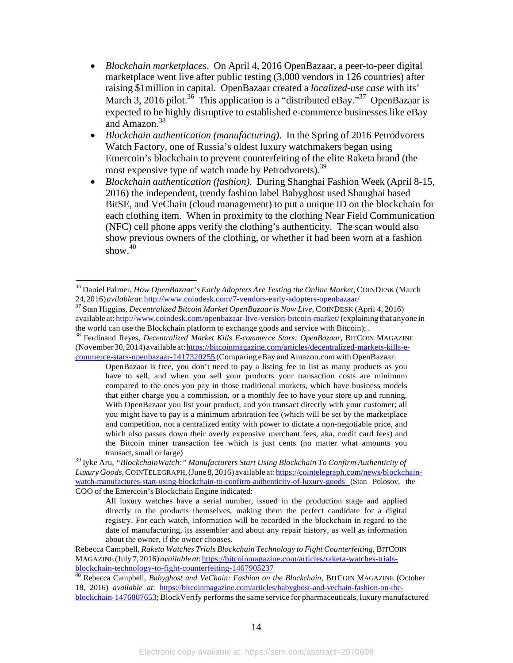- *Blockchain marketplaces*. On April 4, 2016 OpenBazaar, a peer-to-peer digital marketplace went live after public testing (3,000 vendors in 126 countries) after raising \$1million in capital. OpenBazaar created a *localized-use case* with its' March 3, 2016 pilot.<sup>36</sup> This application is a "distributed eBay."<sup>37</sup> OpenBazaar is expected to be highly disruptive to established e-commerce businesses like eBay and Amazon.<sup>38</sup>
- *Blockchain authentication (manufacturing)*. In the Spring of 2016 Petrodvorets Watch Factory, one of Russia's oldest luxury watchmakers began using Emercoin's blockchain to prevent counterfeiting of the elite Raketa brand (the most expensive type of watch made by Petrodvorets).<sup>39</sup>
- *Blockchain authentication (fashion)*. During Shanghai Fashion Week (April 8-15, 2016) the independent, trendy fashion label Babyghost used Shanghai based BitSE, and VeChain (cloud management) to put a unique ID on the blockchain for each clothing item. When in proximity to the clothing Near Field Communication (NFC) cell phone apps verify the clothing's authenticity. The scan would also show previous owners of the clothing, or whether it had been worn at a fashion show. $40$

Rebecca Campbell, *Raketa Watches Trials Blockchain Technology to Fight Counterfeiting*, BITCOIN MAGAZINE (July 7, 2016) *available at*: <u>https://bitcoinmagazine.com/articles/raketa-watches-trials-<br>blockchain-technology-to-fight-counterfeiting-1467905237</u>

<sup>40</sup> Rebecca Campbell, *Babyghost and VeChain: Fashion on the Blockchain*, BITCOIN MAGAZINE (October 18, 2016) *available at*: https://bitcoinmagazine.com/articles/babyghost-and-vechain-fashion-on-theblockchain-1476807653; BlockVerify performsthe same service for pharmaceuticals, luxury manufactured

<sup>36</sup> Daniel Palmer, *How OpenBazaar's Early Adopters Are Testing the Online Market*, COINDESK (March

<sup>&</sup>lt;sup>37</sup> Stan Higgins, *Decentralized Bitcoin Market OpenBazaar is Now Live*, COINDESK (April 4, 2016) available at: [http://www.coindesk.com/openbazaar-live-version-bitcoin-market/\(](http://www.coindesk.com/openbazaar-live-version-bitcoin-market/)explaining that anyone in the world can use the Blockchain platform to exchange goods and service with Bitcoin);

<sup>&</sup>lt;sup>38</sup> Ferdinand Reyes, *Decentralized Market Kills E-commerce Stars: OpenBazaar*, BITCOIN MAGAZINE (November30,2014)available at:https://bitcoinmagazine.com/articles/decentralized-markets-kills-ecommerce-stars-openbazaar-1417320255 (Comparing eBay and Amazon.com with OpenBazaar:

OpenBazaar is free, you don't need to pay a listing fee to list as many products as you have to sell, and when you sell your products your transaction costs are minimum compared to the ones you pay in those traditional markets, which have business models that either charge you a commission, or a monthly fee to have your store up and running. With OpenBazaar you list your product, and you transact directly with your customer; all you might have to pay is a minimum arbitration fee (which will be set by the marketplace and competition, not a centralized entity with power to dictate a non-negotiable price, and which also passes down their overly expensive merchant fees, aka, credit card fees) and the Bitcoin miner transaction fee which is just cents (no matter what amounts you transact, small or large)

<sup>39</sup> Iyke Aru, *"BlockchainWatch:" Manufacturers Start Using Blockchain To Confirm Authenticity of LuxuryGoods*,COINTELEGRAPH,(June 8, 2016) available at: https://cointelegraph.com/news/blockchainwatch-manufactures-start-using-blockchain-to-confirm-authenticity-of-luxury-goods (Stan Polosov, the COO of the Emercoin's Blockchain Engine indicated:

All luxury watches have a serial number, issued in the production stage and applied directly to the products themselves, making them the perfect candidate for a digital registry. For each watch, information will be recorded in the blockchain in regard to the date of manufacturing, its assembler and about any repair history, as well as information about the owner, if the owner chooses.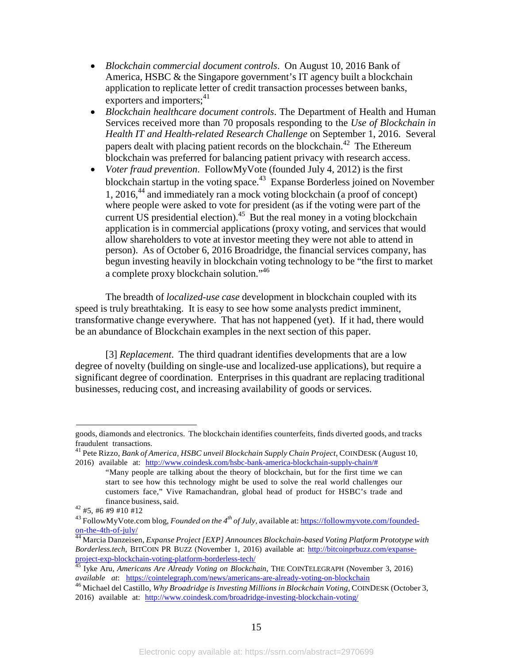- *Blockchain commercial document controls*. On August 10, 2016 Bank of America, HSBC & the Singapore government's IT agency built a blockchain application to replicate letter of credit transaction processes between banks, exporters and importers; $4^{11}$
- *Blockchain healthcare document controls*. The Department of Health and Human Services received more than 70 proposals responding to the *Use of Blockchain in Health IT and Health-related Research Challenge* on September 1, 2016. Several papers dealt with placing patient records on the blockchain.<sup>42</sup> The Ethereum blockchain was preferred for balancing patient privacy with research access.
- *Voter fraud prevention*. FollowMyVote (founded July 4, 2012) is the first blockchain startup in the voting space.<sup>43</sup> Expanse Borderless joined on November 1, 2016,<sup>44</sup> and immediately ran a mock voting blockchain (a proof of concept) where people were asked to vote for president (as if the voting were part of the current US presidential election).<sup>45</sup> But the real money in a voting blockchain application is in commercial applications (proxy voting, and services that would allow shareholders to vote at investor meeting they were not able to attend in person). As of October 6, 2016 Broadridge, the financial services company, has begun investing heavily in blockchain voting technology to be "the first to market a complete proxy blockchain solution."<sup>46</sup>

The breadth of *localized-use case* development in blockchain coupled with its speed is truly breathtaking. It is easy to see how some analysts predict imminent, transformative change everywhere. That has not happened (yet). If it had, there would be an abundance of Blockchain examples in the next section of this paper.

[3] *Replacement*. The third quadrant identifies developments that are a low degree of novelty (building on single-use and localized-use applications), but require a significant degree of coordination. Enterprises in this quadrant are replacing traditional businesses, reducing cost, and increasing availability of goods or services.

goods, diamonds and electronics. The blockchain identifies counterfeits, finds diverted goods, and tracks

<sup>&</sup>lt;sup>41</sup> Pete Rizzo, *Bank of America, HSBC unveil Blockchain Supply Chain Project, COINDESK (August 10,* 2016) available at: [http://www.coindesk.com/hsbc-bank-america-blockchain-supply-chain/#](http://www.coindesk.com/hsbc-bank-america-blockchain-supply-chain/)

<sup>&</sup>quot;Many people are talking about the theory of blockchain, but for the first time we can start to see how this technology might be used to solve the real world challenges our customers face," Vive Ramachandran, global head of product for HSBC's trade and finance business, said.  $42$  #5, #6 #9 #10 #12

<sup>43</sup> FollowMyVote.com blog, *Founded on the 4th of July,* available at: https://followmyvote.com/foundedon-the-4th-of-july/ <sup>44</sup> Marcia Danzeisen, *Expanse Project[EXP] Announces Blockchain-based Voting Platform Prototype with*

*Borderless.tech*, BITCOIN PR BUZZ (November 1, 2016) available at: http://bitcoinprbuzz.com/expanse-<br>project-exp-blockchain-voting-platform-borderless-tech/

project-exp-blockchain-voting-platform-borderless-tech/ <sup>45</sup> Iyke Aru, *Americans Are Already Voting on Blockchain,* THE COINTELEGRAPH (November 3, 2016) *available at*: https://cointelegraph.com/news/americans-are-already-voting-on-blockchain

<sup>46</sup> Michael del Castillo, *Why Broadridge is Investing Millions in Blockchain Voting*, COINDESK (October 3, 2016) available at: <http://www.coindesk.com/broadridge-investing-blockchain-voting/>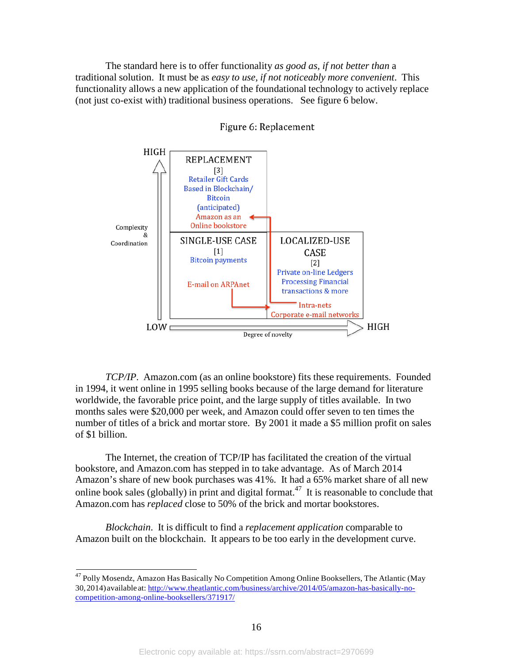The standard here is to offer functionality *as good as, if not better than* a traditional solution. It must be as *easy to use, if not noticeably more convenient*. This functionality allows a new application of the foundational technology to actively replace (not just co-exist with) traditional business operations. See figure 6 below.



#### Figure 6: Replacement

*TCP/IP*. Amazon.com (as an online bookstore) fits these requirements. Founded in 1994, it went online in 1995 selling books because of the large demand for literature worldwide, the favorable price point, and the large supply of titles available. In two months sales were \$20,000 per week, and Amazon could offer seven to ten times the number of titles of a brick and mortar store. By 2001 it made a \$5 million profit on sales of \$1 billion.

The Internet, the creation of TCP/IP has facilitated the creation of the virtual bookstore, and Amazon.com has stepped in to take advantage. As of March 2014 Amazon's share of new book purchases was 41%. It had a 65% market share of all new online book sales (globally) in print and digital format.<sup>47</sup> It is reasonable to conclude that Amazon.com has *replaced* close to 50% of the brick and mortar bookstores.

*Blockchain*. It is difficult to find a *replacement application* comparable to Amazon built on the blockchain. It appears to be too early in the development curve.

<sup>47</sup> Polly Mosendz, Amazon Has Basically No Competition Among Online Booksellers, The Atlantic (May 30,2014)available at: [http://www.theatlantic.com/business/archive/2014/05/amazon-has-basically-no](http://www.theatlantic.com/business/archive/2014/05/amazon-has-basically-no-)competition-among-online-booksellers/371917/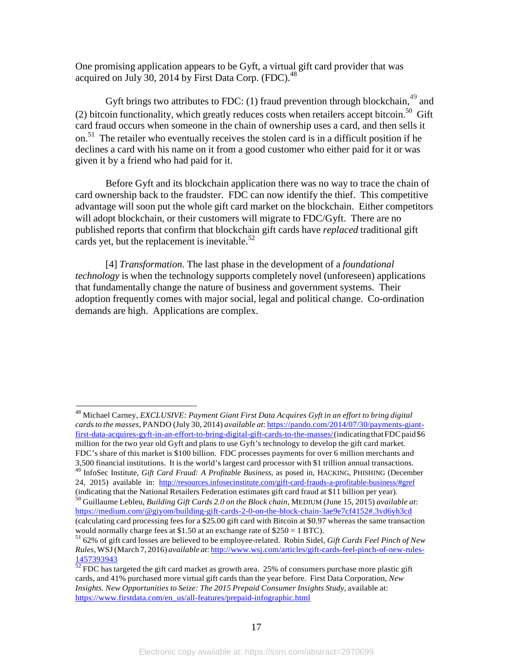One promising application appears to be Gyft, a virtual gift card provider that was acquired on July 30, 2014 by First Data Corp. (FDC). $^{48}$ 

Gyft brings two attributes to FDC: (1) fraud prevention through blockchain,  $49$  and (2) bitcoin functionality, which greatly reduces costs when retailers accept bitcoin.<sup>50</sup> Gift card fraud occurs when someone in the chain of ownership uses a card, and then sells it on.51 The retailer who eventually receives the stolen card is in a difficult position if he declines a card with his name on it from a good customer who either paid for it or was given it by a friend who had paid for it.

Before Gyft and its blockchain application there was no way to trace the chain of card ownership back to the fraudster. FDC can now identify the thief. This competitive advantage will soon put the whole gift card market on the blockchain. Either competitors will adopt blockchain, or their customers will migrate to FDC/Gyft. There are no published reports that confirm that blockchain gift cards have *replaced* traditional gift cards yet, but the replacement is inevitable. $52$ 

[4] *Transformation*. The last phase in the development of a *foundational technology* is when the technology supports completely novel (unforeseen) applications that fundamentally change the nature of business and government systems. Their adoption frequently comes with major social, legal and political change. Co-ordination demands are high. Applications are complex.

<sup>48</sup> Michael Carney, *EXCLUSIVE: Payment Giant First Data Acquires Gyft in an effort to bring digital cardsto the masses*, PANDO (July 30, 2014) *available at*: https://pando.com/2014/07/30/payments-giantfirst-data-acquires-gyft-in-an-effort-to-bring-digital-gift-cards-to-the-masses/(indicatingthatFDCpaid\$6 million for the two year old Gyft and plans to use Gyft's technology to develop the gift card market. FDC's share of this market is \$100 billion. FDC processes payments for over 6 million merchants and 3,500 financial institutions. It is the world's largest card processor with \$1 trillion annual transactions.

<sup>49</sup> InfoSec Institute, *Gift Card Fraud: A Profitable Business,* as posed in, HACKING, PHISHING (December 24, 2015) available in: <http://resources.infosecinstitute.com/gift-card-frauds-a-profitable-business/#gref>

<sup>(</sup>indicating that the National Retailers Federation estimates gift card fraud at \$11 billion per year).<br><sup>50</sup> Guillaume Lebleu, *Building Gift Cards 2.0 on the Block chain*, MEDIUM (June 15, 2015) *available at*: [https://medium.com/@giyom/building-gift-cards-2-0-on-the-block-chain-3ae9e7cf4152#.3vd6yh3cd](https://medium.com/%40giyom/building-gift-cards-2-0-on-the-block-chain-3ae9e7cf4152#.3vd6yh3cd) (calculating card processing fees for a \$25.00 gift card with Bitcoin at \$0.97 whereas the same transaction would normally charge fees at \$1.50 at an exchange rate of \$250 <sup>=</sup> <sup>1</sup> BTC). <sup>51</sup> 62% of gift card losses are believed to be employee-related. Robin Sidel, *Gift Cards Feel Pinch of New*

*Rules*,WSJ(March 7, 2016) *available at*: <http://www.wsj.com/articles/gift-cards-feel-pinch-of-new-rules->1457393943

 $\frac{527525312}{52}$  FDC has targeted the gift card market as growth area. 25% of consumers purchase more plastic gift cards, and 41% purchased more virtual gift cards than the year before. First Data Corporation, *New Insights. New Opportunities to Seize: The 2015 Prepaid Consumer Insights Study*, available at: https:/[/www.firstdata.com/en\\_us/all-features/prepaid-infographic.html](http://www.firstdata.com/en_us/all-features/prepaid-infographic.html)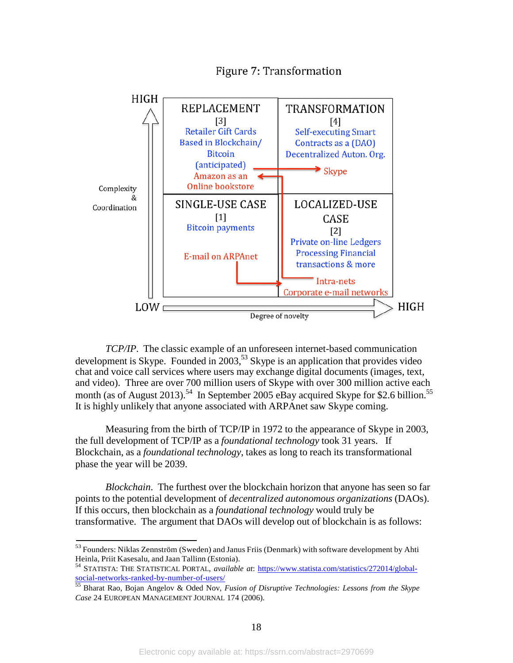

# **Figure 7: Transformation**

*TCP/IP*. The classic example of an unforeseen internet-based communication development is Skype. Founded in  $2003$ <sup>53</sup> Skype is an application that provides video chat and voice call services where users may exchange digital documents (images, text, and video). Three are over 700 million users of Skype with over 300 million active each month (as of August 2013).<sup>54</sup> In September 2005 eBay acquired Skype for \$2.6 billion.<sup>55</sup> It is highly unlikely that anyone associated with ARPAnet saw Skype coming.

Measuring from the birth of TCP/IP in 1972 to the appearance of Skype in 2003, the full development of TCP/IP as a *foundational technology* took 31 years. If Blockchain, as a *foundational technology*, takes as long to reach its transformational phase the year will be 2039.

*Blockchain*. The furthest over the blockchain horizon that anyone has seen so far points to the potential development of *decentralized autonomous organizations* (DAOs). If this occurs, then blockchain as a *foundational technology* would truly be transformative. The argument that DAOs will develop out of blockchain is as follows:

<sup>&</sup>lt;sup>53</sup> Founders: Niklas Zennström (Sweden) and Janus Friis (Denmark) with software development by Ahti Heinla, Priit Kasesalu, and Jaan Tallinn (Estonia).

Heinla, Print Kasesalu, and Jaan Tallinn (Estonia).<br><sup>54</sup> STATISTA: THE STATISTICAL PORTAL, *available at*: https:/[/www.statista.com/statistics/272014/global](http://www.statista.com/statistics/272014/global-)social-networks-ranked-by-number-of-users/

<sup>55</sup> Bharat Rao, Bojan Angelov & Oded Nov, *Fusion of Disruptive Technologies: Lessons from the Skype Case* 24 EUROPEAN MANAGEMENT JOURNAL 174 (2006).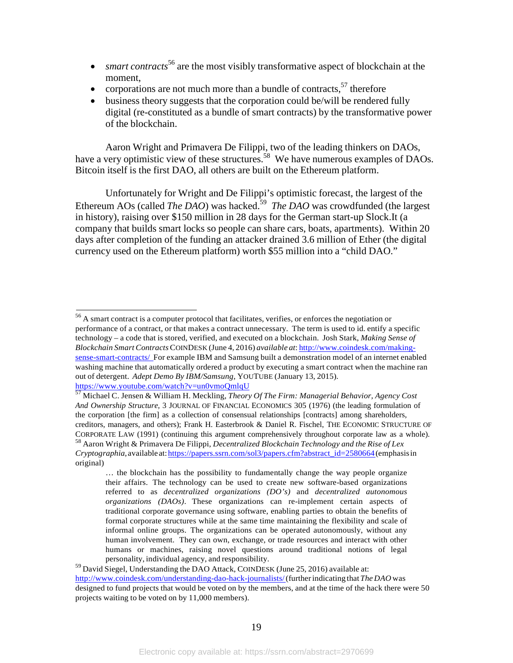- *smart contracts*<sup>56</sup> are the most visibly transformative aspect of blockchain at the moment,
- corporations are not much more than a bundle of contracts,  $57$  therefore
- business theory suggests that the corporation could be/will be rendered fully digital (re-constituted as a bundle of smart contracts) by the transformative power of the blockchain.

Aaron Wright and Primavera De Filippi, two of the leading thinkers on DAOs, have a very optimistic view of these structures.<sup>58</sup> We have numerous examples of DAOs. Bitcoin itself is the first DAO, all others are built on the Ethereum platform.

Unfortunately for Wright and De Filippi's optimistic forecast, the largest of the Ethereum AOs (called *The DAO*) was hacked.<sup>59</sup> *The DAO* was crowdfunded (the largest in history), raising over \$150 million in 28 days for the German start-up Slock.It (a company that builds smart locks so people can share cars, boats, apartments). Within 20 days after completion of the funding an attacker drained 3.6 million of Ether (the digital currency used on the Ethereum platform) worth \$55 million into a "child DAO."

59 David Siegel, Understanding the DAO Attack, COINDESK (June 25, 2016) available at: [http://www.coindesk.com/understanding-dao-hack-journalists/\(](http://www.coindesk.com/understanding-dao-hack-journalists/)furtherindicating that *The DAO* was designed to fund projects that would be voted on by the members, and at the time of the hack there were 50 projects waiting to be voted on by 11,000 members).

<sup>56</sup> A smart contract is a computer protocol that facilitates, verifies, or enforces the negotiation or performance of a contract, or that makes a contract unnecessary. The term is used to id. entify a specific technology – a code that is stored, verified, and executed on a blockchain. Josh Stark, *Making Sense of Blockchain SmartContracts*COINDESK (June 4, 2016) *available at*: [http://www.coindesk.com/making](http://www.coindesk.com/making-)sense-smart-contracts/ For example IBM and Samsung built a demonstration model of an internet enabled washing machine that automatically ordered a product by executing a smart contract when the machine ran out of detergent. *Adept Demo By IBM/Samsung*, YOUTUBE (January 13, 2015).

https:/[/www.youtube.com/watch?v=un0vmoQmlqU](http://www.youtube.com/watch?v=un0vmoQmlqU) <sup>57</sup> Michael C. Jensen & William H. Meckling, *Theory Of The Firm: Managerial Behavior, Agency Cost And Ownership Structure,* 3 JOURNAL OF FINANCIAL ECONOMICS 305 (1976) (the leading formulation of the corporation [the firm] as a collection of consensual relationships [contracts] among shareholders, creditors, managers, and others); Frank H. Easterbrook & Daniel R. Fischel, THE ECONOMIC STRUCTURE OF CORPORATE LAW (1991) (continuing this argument comprehensively throughout corporate law as a whole).<br><sup>58</sup> Aaron Wright & Primavera De Filippi, *Decentralized Blockchain Technology and the Rise of Lex Cryptographia*,availableat:https://papers.ssrn.com/sol3/papers.cfm?abstract\_id=2580664(emphasisin original)

<sup>…</sup> the blockchain has the possibility to fundamentally change the way people organize their affairs. The technology can be used to create new software-based organizations referred to as *decentralized organizations (DO's)* and *decentralized autonomous organizations (DAOs)*. These organizations can re-implement certain aspects of traditional corporate governance using software, enabling parties to obtain the benefits of formal corporate structures while at the same time maintaining the flexibility and scale of informal online groups. The organizations can be operated autonomously, without any human involvement. They can own, exchange, or trade resources and interact with other humans or machines, raising novel questions around traditional notions of legal personality, individual agency, and responsibility.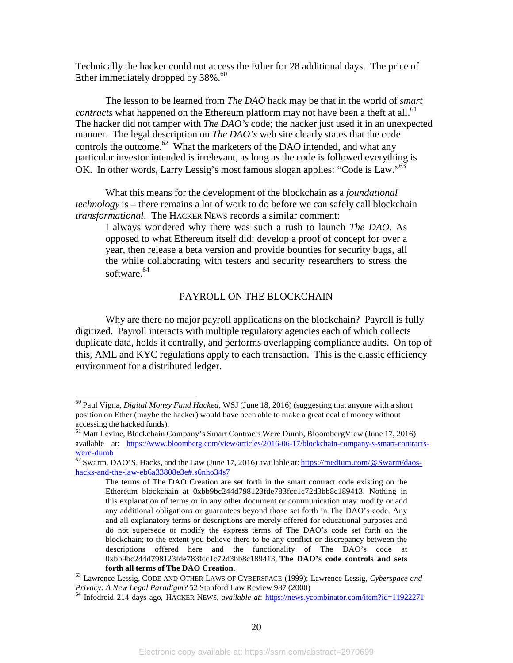Technically the hacker could not access the Ether for 28 additional days. The price of Ether immediately dropped by  $38\%$ .<sup>60</sup>

The lesson to be learned from *The DAO* hack may be that in the world of *smart contracts* what happened on the Ethereum platform may not have been a theft at all.<sup>61</sup> The hacker did not tamper with *The DAO's* code; the hacker just used it in an unexpected manner. The legal description on *The DAO's* web site clearly states that the code controls the outcome.<sup>62</sup> What the marketers of the DAO intended, and what any particular investor intended is irrelevant, as long as the code is followed everything is OK. In other words, Larry Lessig's most famous slogan applies: "Code is Law."63

What this means for the development of the blockchain as a *foundational technology* is – there remains a lot of work to do before we can safely call blockchain *transformational*. The HACKER NEWS records a similar comment:

I always wondered why there was such a rush to launch *The DAO*. As opposed to what Ethereum itself did: develop a proof of concept for over a year, then release a beta version and provide bounties for security bugs, all the while collaborating with testers and security researchers to stress the software.<sup>64</sup>

#### PAYROLL ON THE BLOCKCHAIN

Why are there no major payroll applications on the blockchain? Payroll is fully digitized. Payroll interacts with multiple regulatory agencies each of which collects duplicate data, holds it centrally, and performs overlapping compliance audits. On top of this, AML and KYC regulations apply to each transaction. This is the classic efficiency environment for a distributed ledger.

<sup>60</sup> Paul Vigna, *Digital Money Fund Hacked*, WSJ (June 18, 2016) (suggesting that anyone with a short position on Ether (maybe the hacker) would have been able to make a great deal of money without accessing the hacked funds).<br><sup>61</sup> Matt Levine, Blockchain Company's Smart Contracts Were Dumb, BloombergView (June 17, 2016)

available at: https:/[/www.bloomberg.com/view/articles/2016-06-17/blockchain-company-s-smart-contracts](http://www.bloomberg.com/view/articles/2016-06-17/blockchain-company-s-smart-contracts-)were-dumb<br>  $\frac{\text{were-dumb}}{62}$  Swarm, DAO'S, Hacks, and the Law (June 17, 2016) available at: [https://medium.com/@Swarm/daos-](https://medium.com/%40Swarm/daos-)

hacks-and-the-law-eb6a33808e3e#.s6nho34s7

The terms of The DAO Creation are set forth in the smart contract code existing on the Ethereum blockchain at 0xbb9bc244d798123fde783fcc1c72d3bb8c189413. Nothing in this explanation of terms or in any other document or communication may modify or add any additional obligations or guarantees beyond those set forth in The DAO's code. Any and all explanatory terms or descriptions are merely offered for educational purposes and do not supersede or modify the express terms of The DAO's code set forth on the blockchain; to the extent you believe there to be any conflict or discrepancy between the descriptions offered here and the functionality of The DAO's code at 0xbb9bc244d798123fde783fcc1c72d3bb8c189413, **The DAO's code controls and sets**

**forth all terms of The DAO Creation**.<br><sup>63</sup> Lawrence Lessig, CODE AND OTHER LAWS OF CYBERSPACE (1999); Lawrence Lessig, *Cyberspace and Privacy: A New Legal Paradigm?* 52 Stanford Law Review 987 (2000)

<sup>&</sup>lt;sup>64</sup> Infodroid 214 days ago, HACKER NEWS, *available at*: https://news.ycombinator.com/item?id=11922271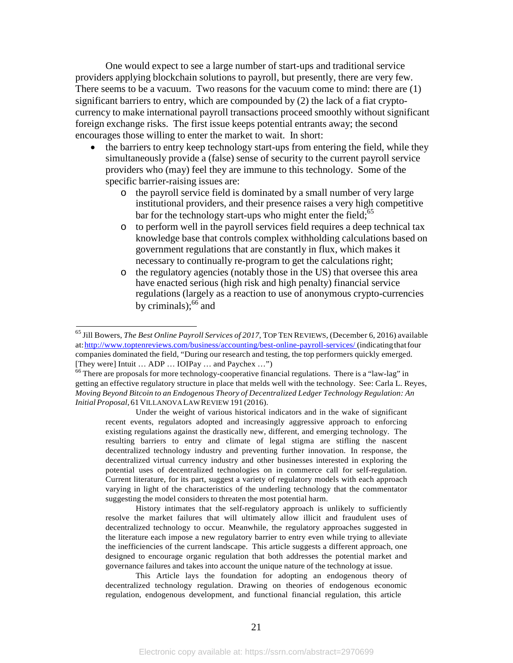One would expect to see a large number of start-ups and traditional service providers applying blockchain solutions to payroll, but presently, there are very few. There seems to be a vacuum. Two reasons for the vacuum come to mind: there are (1) significant barriers to entry, which are compounded by (2) the lack of a fiat cryptocurrency to make international payroll transactions proceed smoothly without significant foreign exchange risks. The first issue keeps potential entrants away; the second encourages those willing to enter the market to wait. In short:

- the barriers to entry keep technology start-ups from entering the field, while they simultaneously provide a (false) sense of security to the current payroll service providers who (may) feel they are immune to this technology. Some of the specific barrier-raising issues are:
	- o the payroll service field is dominated by a small number of very large institutional providers, and their presence raises a very high competitive bar for the technology start-ups who might enter the field;<sup>65</sup>
	- o to perform well in the payroll services field requires a deep technical tax knowledge base that controls complex withholding calculations based on government regulations that are constantly in flux, which makes it necessary to continually re-program to get the calculations right;
	- o the regulatory agencies (notably those in the US) that oversee this area have enacted serious (high risk and high penalty) financial service regulations (largely as a reaction to use of anonymous crypto-currencies by criminals);  $^{66}$  and

Under the weight of various historical indicators and in the wake of significant recent events, regulators adopted and increasingly aggressive approach to enforcing existing regulations against the drastically new, different, and emerging technology. The resulting barriers to entry and climate of legal stigma are stifling the nascent decentralized technology industry and preventing further innovation. In response, the decentralized virtual currency industry and other businesses interested in exploring the potential uses of decentralized technologies on in commerce call for self-regulation. Current literature, for its part, suggest a variety of regulatory models with each approach varying in light of the characteristics of the underling technology that the commentator suggesting the model considers to threaten the most potential harm.

History intimates that the self-regulatory approach is unlikely to sufficiently resolve the market failures that will ultimately allow illicit and fraudulent uses of decentralized technology to occur. Meanwhile, the regulatory approaches suggested in the literature each impose a new regulatory barrier to entry even while trying to alleviate the inefficiencies of the current landscape. This article suggests a different approach, one designed to encourage organic regulation that both addresses the potential market and governance failures and takes into account the unique nature of the technology at issue.

This Article lays the foundation for adopting an endogenous theory of decentralized technology regulation. Drawing on theories of endogenous economic regulation, endogenous development, and functional financial regulation, this article

<sup>65</sup> Jill Bowers, *The Best Online Payroll Services of 2017*, TOP TEN REVIEWS, (December 6, 2016) available at: http://www.toptenreviews.com/business/accounting/best-online-payroll-services/ (indicating that four companies dominated the field, "During our research and testing, the top performers quickly emerged. [They were] Intuit ... ADP ... IOIPay ... and Paychex ...")<br><sup>66</sup> There are proposals for more technology-cooperative financial regulations. There is a "law-lag" in

getting an effective regulatory structure in place that melds well with the technology. See: Carla L. Reyes, *Moving Beyond Bitcoin to an Endogenous Theory of Decentralized Ledger Technology Regulation: An InitialProposal,* 61VILLANOVALAWREVIEW 191 (2016).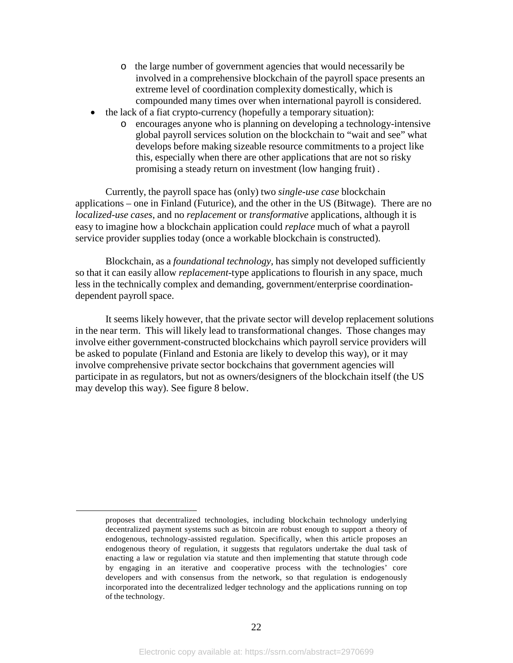- o the large number of government agencies that would necessarily be involved in a comprehensive blockchain of the payroll space presents an extreme level of coordination complexity domestically, which is compounded many times over when international payroll is considered.
- the lack of a fiat crypto-currency (hopefully a temporary situation):
	- o encourages anyone who is planning on developing a technology-intensive global payroll services solution on the blockchain to "wait and see" what develops before making sizeable resource commitments to a project like this, especially when there are other applications that are not so risky promising a steady return on investment (low hanging fruit) .

Currently, the payroll space has (only) two *single-use case* blockchain applications – one in Finland (Futurice), and the other in the US (Bitwage). There are no *localized-use cases*, and no *replacement* or *transformative* applications, although it is easy to imagine how a blockchain application could *replace* much of what a payroll service provider supplies today (once a workable blockchain is constructed).

Blockchain, as a *foundational technology,* has simply not developed sufficiently so that it can easily allow *replacement*-type applications to flourish in any space, much less in the technically complex and demanding, government/enterprise coordinationdependent payroll space.

It seems likely however, that the private sector will develop replacement solutions in the near term. This will likely lead to transformational changes. Those changes may involve either government-constructed blockchains which payroll service providers will be asked to populate (Finland and Estonia are likely to develop this way), or it may involve comprehensive private sector bockchains that government agencies will participate in as regulators, but not as owners/designers of the blockchain itself (the US may develop this way). See figure 8 below.

proposes that decentralized technologies, including blockchain technology underlying decentralized payment systems such as bitcoin are robust enough to support a theory of endogenous, technology-assisted regulation. Specifically, when this article proposes an endogenous theory of regulation, it suggests that regulators undertake the dual task of enacting a law or regulation via statute and then implementing that statute through code by engaging in an iterative and cooperative process with the technologies' core developers and with consensus from the network, so that regulation is endogenously incorporated into the decentralized ledger technology and the applications running on top of the technology.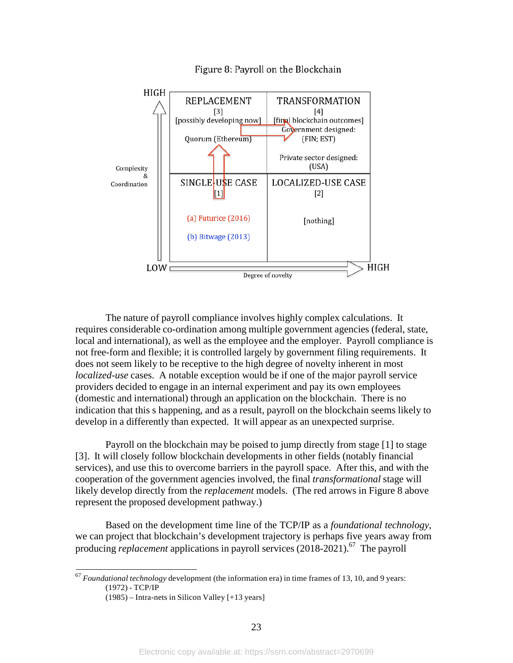

Figure 8: Payroll on the Blockchain

The nature of payroll compliance involves highly complex calculations. It requires considerable co-ordination among multiple government agencies (federal, state, local and international), as well as the employee and the employer. Payroll compliance is not free-form and flexible; it is controlled largely by government filing requirements. It does not seem likely to be receptive to the high degree of novelty inherent in most *localized-use* cases. A notable exception would be if one of the major payroll service providers decided to engage in an internal experiment and pay its own employees (domestic and international) through an application on the blockchain. There is no indication that this s happening, and as a result, payroll on the blockchain seems likely to develop in a differently than expected. It will appear as an unexpected surprise.

Payroll on the blockchain may be poised to jump directly from stage [1] to stage [3]. It will closely follow blockchain developments in other fields (notably financial services), and use this to overcome barriers in the payroll space. After this, and with the cooperation of the government agencies involved, the final *transformational* stage will likely develop directly from the *replacement* models. (The red arrows in Figure 8 above represent the proposed development pathway.)

Based on the development time line of the TCP/IP as a *foundational technology*, we can project that blockchain's development trajectory is perhaps five years away from producing *replacement* applications in payroll services (2018-2021).<sup>67</sup> The payroll

<sup>67</sup> *Foundational technology* development (the information era) in time frames of 13, 10, and 9 years: (1972) - TCP/IP

<sup>(1985)</sup> – Intra-nets in Silicon Valley [+13 years]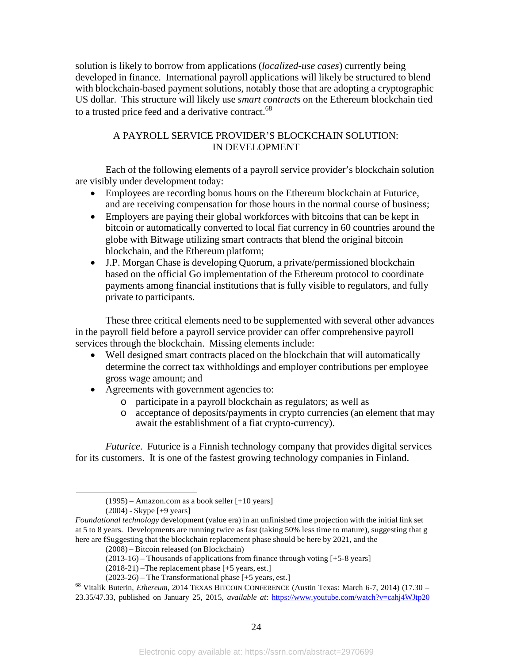solution is likely to borrow from applications (*localized-use cases*) currently being developed in finance. International payroll applications will likely be structured to blend with blockchain-based payment solutions, notably those that are adopting a cryptographic US dollar. This structure will likely use *smart contracts* on the Ethereum blockchain tied to a trusted price feed and a derivative contract.<sup>68</sup>

### A PAYROLL SERVICE PROVIDER'S BLOCKCHAIN SOLUTION: IN DEVELOPMENT

Each of the following elements of a payroll service provider's blockchain solution are visibly under development today:

- Employees are recording bonus hours on the Ethereum blockchain at Futurice, and are receiving compensation for those hours in the normal course of business;
- Employers are paying their global workforces with bitcoins that can be kept in bitcoin or automatically converted to local fiat currency in 60 countries around the globe with Bitwage utilizing smart contracts that blend the original bitcoin blockchain, and the Ethereum platform;
- J.P. Morgan Chase is developing Quorum, a private/permissioned blockchain based on the official Go implementation of the Ethereum protocol to coordinate payments among financial institutions that is fully visible to regulators, and fully private to participants.

These three critical elements need to be supplemented with several other advances in the payroll field before a payroll service provider can offer comprehensive payroll services through the blockchain. Missing elements include:

- Well designed smart contracts placed on the blockchain that will automatically determine the correct tax withholdings and employer contributions per employee gross wage amount; and
- Agreements with government agencies to:
	- o participate in a payroll blockchain as regulators; as well as
	- o acceptance of deposits/payments in crypto currencies (an element that may await the establishment of a fiat crypto-currency).

*Futurice*. Futurice is a Finnish technology company that provides digital services for its customers. It is one of the fastest growing technology companies in Finland.

<sup>(1995)</sup> – Amazon.com as a book seller [+10 years]

<sup>(2004)</sup> - Skype [+9 years]

*Foundational technology* development (value era) in an unfinished time projection with the initial link set at 5 to 8 years. Developments are running twice as fast (taking 50% less time to mature), suggesting that g here are fSuggesting that the blockchain replacement phase should be here by 2021, and the

<sup>(2008)</sup> – Bitcoin released (on Blockchain)

<sup>(2013-16)</sup> – Thousands of applications from finance through voting [+5-8 years]

<sup>(2018-21)</sup> –The replacement phase [+5 years, est.]

<sup>(2023-26)</sup> – The Transformational phase [+5 years, est.]

<sup>68</sup> Vitalik Buterin, *Ethereum*, 2014 TEXAS BITCOIN CONFERENCE (Austin Texas: March 6-7, 2014) (17.30 – 23.35/47.33, published on January 25, 2015, *available at*: https:/[/www.youtube.com/watch?v=cahj4WJtp20](http://www.youtube.com/watch?v=cahj4WJtp20)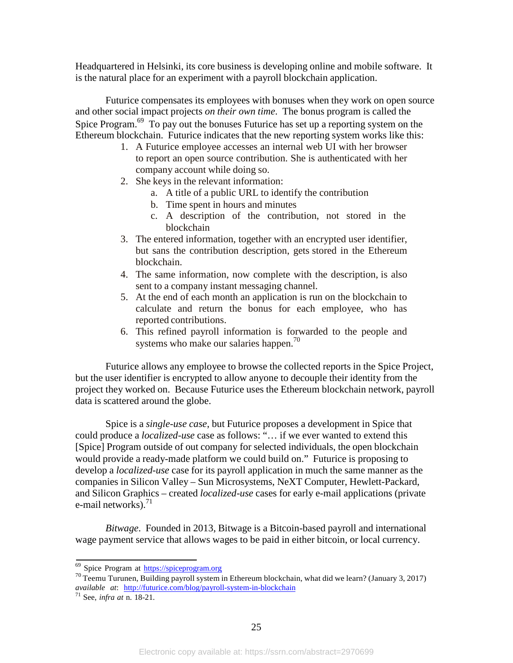Headquartered in Helsinki, its core business is developing online and mobile software. It is the natural place for an experiment with a payroll blockchain application.

Futurice compensates its employees with bonuses when they work on open source and other social impact projects *on their own time*. The bonus program is called the Spice Program.<sup>69</sup> To pay out the bonuses Futurice has set up a reporting system on the Ethereum blockchain. Futurice indicates that the new reporting system works like this:

- 1. A Futurice employee accesses an internal web UI with her browser to report an open source contribution. She is authenticated with her company account while doing so.
- 2. She keys in the relevant information:
	- a. A title of a public URL to identify the contribution
	- b. Time spent in hours and minutes
	- c. A description of the contribution, not stored in the blockchain
- 3. The entered information, together with an encrypted user identifier, but sans the contribution description, gets stored in the Ethereum blockchain.
- 4. The same information, now complete with the description, is also sent to a company instant messaging channel.
- 5. At the end of each month an application is run on the blockchain to calculate and return the bonus for each employee, who has reported contributions.
- 6. This refined payroll information is forwarded to the people and systems who make our salaries happen. $\frac{70}{6}$

Futurice allows any employee to browse the collected reports in the Spice Project, but the user identifier is encrypted to allow anyone to decouple their identity from the project they worked on. Because Futurice uses the Ethereum blockchain network, payroll data is scattered around the globe.

Spice is a *single-use case*, but Futurice proposes a development in Spice that could produce a *localized-use* case as follows: "… if we ever wanted to extend this [Spice] Program outside of out company for selected individuals, the open blockchain would provide a ready-made platform we could build on." Futurice is proposing to develop a *localized-use* case for its payroll application in much the same manner as the companies in Silicon Valley – Sun Microsystems, NeXT Computer, Hewlett-Packard, and Silicon Graphics – created *localized-use* cases for early e-mail applications (private e-mail networks). $^{71}$ 

*Bitwage*. Founded in 2013, Bitwage is a Bitcoin-based payroll and international wage payment service that allows wages to be paid in either bitcoin, or local currency.

<sup>69</sup> Spice Program at https://spiceprogram.org

<sup>70</sup> Teemu Turunen, Building payroll system in Ethereum blockchain, what did we learn? (January 3, 2017) *available at*: <http://futurice.com/blog/payroll-system-in-blockchain> <sup>71</sup> See, *infra at* n. 18-21.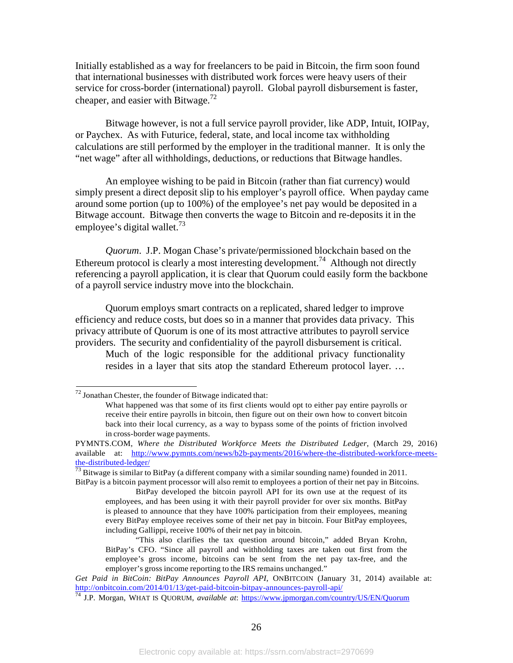Initially established as a way for freelancers to be paid in Bitcoin, the firm soon found that international businesses with distributed work forces were heavy users of their service for cross-border (international) payroll. Global payroll disbursement is faster, cheaper, and easier with Bitwage.<sup>72</sup>

Bitwage however, is not a full service payroll provider, like ADP, Intuit, IOIPay, or Paychex. As with Futurice, federal, state, and local income tax withholding calculations are still performed by the employer in the traditional manner. It is only the "net wage" after all withholdings, deductions, or reductions that Bitwage handles.

An employee wishing to be paid in Bitcoin (rather than fiat currency) would simply present a direct deposit slip to his employer's payroll office. When payday came around some portion (up to 100%) of the employee's net pay would be deposited in a Bitwage account. Bitwage then converts the wage to Bitcoin and re-deposits it in the employee's digital wallet.<sup>73</sup>

*Quorum*. J.P. Mogan Chase's private/permissioned blockchain based on the Ethereum protocol is clearly a most interesting development.<sup>74</sup> Although not directly referencing a payroll application, it is clear that Quorum could easily form the backbone of a payroll service industry move into the blockchain.

Quorum employs smart contracts on a replicated, shared ledger to improve efficiency and reduce costs, but does so in a manner that provides data privacy. This privacy attribute of Quorum is one of its most attractive attributes to payroll service providers. The security and confidentiality of the payroll disbursement is critical.

Much of the logic responsible for the additional privacy functionality resides in a layer that sits atop the standard Ethereum protocol layer. …

 $72$  Jonathan Chester, the founder of Bitwage indicated that:

What happened was that some of its first clients would opt to either pay entire payrolls or receive their entire payrolls in bitcoin, then figure out on their own how to convert bitcoin back into their local currency, as a way to bypass some of the points of friction involved in cross-border wage payments.

PYMNTS.COM, *Where the Distributed Workforce Meets the Distributed Ledger*, (March 29, 2016) available at: [http://www.pymnts.com/news/b2b-payments/2016/where-the-distributed-workforce-meets](http://www.pymnts.com/news/b2b-payments/2016/where-the-distributed-workforce-meets-)the-distributed-ledger/<br> $\frac{73}{73}$  Bitwage is similar to BitPay (a different company with a similar sounding name) founded in 2011.

BitPay is a bitcoin payment processor will also remit to employees a portion of their net pay in Bitcoins.

BitPay developed the bitcoin payroll API for its own use at the request of its employees, and has been using it with their payroll provider for over six months. BitPay is pleased to announce that they have 100% participation from their employees, meaning every BitPay employee receives some of their net pay in bitcoin. Four BitPay employees, including Gallippi, receive 100% of their net pay in bitcoin.

<sup>&</sup>quot;This also clarifies the tax question around bitcoin," added Bryan Krohn, BitPay's CFO. "Since all payroll and withholding taxes are taken out first from the employee's gross income, bitcoins can be sent from the net pay tax-free, and the employer's gross income reporting to the IRS remains unchanged."

*Get Paid in BitCoin: BitPay Announces Payroll API, ONBITCOIN (January 31, 2014) available at:* http://onbitcoin.com/2014/01/13/get-paid-bitcoin-bitpay-announces-payroll-api/

<http://onbitcoin.com/2014/01/13/get-paid-bitcoin-bitpay-announces-payroll-api/> <sup>74</sup> J.P. Morgan, WHAT IS QUORUM, *available at*: https:[//www.jpmorgan.com/country/US/EN/Quorum](http://www.jpmorgan.com/country/US/EN/Quorum)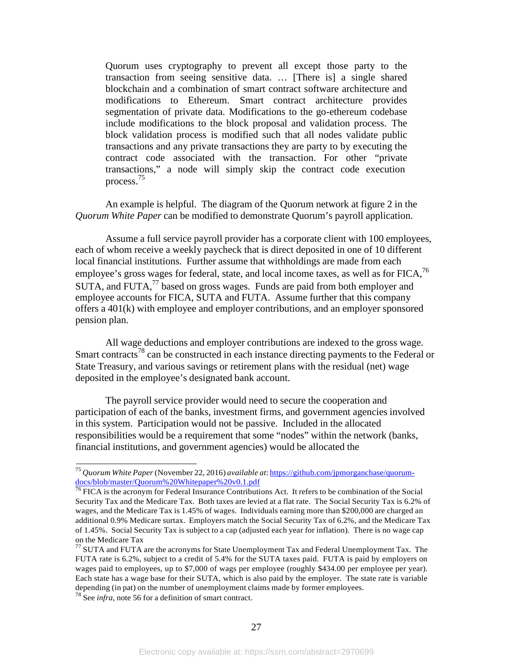Quorum uses cryptography to prevent all except those party to the transaction from seeing sensitive data. … [There is] a single shared blockchain and a combination of smart contract software architecture and modifications to Ethereum. Smart contract architecture provides segmentation of private data. Modifications to the go-ethereum codebase include modifications to the block proposal and validation process. The block validation process is modified such that all nodes validate public transactions and any private transactions they are party to by executing the contract code associated with the transaction. For other "private transactions," a node will simply skip the contract code execution process.75

An example is helpful. The diagram of the Quorum network at figure 2 in the *Quorum White Paper* can be modified to demonstrate Quorum's payroll application.

Assume a full service payroll provider has a corporate client with 100 employees, each of whom receive a weekly paycheck that is direct deposited in one of 10 different local financial institutions. Further assume that withholdings are made from each employee's gross wages for federal, state, and local income taxes, as well as for FICA,<sup>76</sup> SUTA, and FUTA, $^{77}$  based on gross wages. Funds are paid from both employer and employee accounts for FICA, SUTA and FUTA. Assume further that this company offers a 401(k) with employee and employer contributions, and an employer sponsored pension plan.

All wage deductions and employer contributions are indexed to the gross wage. Smart contracts<sup>78</sup> can be constructed in each instance directing payments to the Federal or State Treasury, and various savings or retirement plans with the residual (net) wage deposited in the employee's designated bank account.

The payroll service provider would need to secure the cooperation and participation of each of the banks, investment firms, and government agencies involved in this system. Participation would not be passive. Included in the allocated responsibilities would be a requirement that some "nodes" within the network (banks, financial institutions, and government agencies) would be allocated the

<sup>75</sup> *Quorum White Paper* (November 22, 2016) *available at*: https://github.com/jpmorganchase/quorumdocs/blob/master/Quorum%20Whitepaper%20v0.1.pdf

<sup>&</sup>lt;sup>76</sup> FICA is the acronym for Federal Insurance Contributions Act. It refers to be combination of the Social Security Tax and the Medicare Tax. Both taxes are levied at a flat rate. The Social Security Tax is 6.2% of wages, and the Medicare Tax is 1.45% of wages. Individuals earning more than \$200,000 are charged an additional 0.9% Medicare surtax. Employers match the Social Security Tax of 6.2%, and the Medicare Tax of 1.45%. Social Security Tax is subject to a cap (adjusted each year for inflation). There is no wage cap on the Medicare Tax<br><sup>77</sup> SUTA and FUTA are the acronyms for State Unemployment Tax and Federal Unemployment Tax. The

FUTA rate is 6.2%, subject to a credit of 5.4% for the SUTA taxes paid. FUTA is paid by employers on wages paid to employees, up to \$7,000 of wags per employee (roughly \$434.00 per employee per year). Each state has a wage base for their SUTA, which is also paid by the employer. The state rate is variable depending (in pat) on the number of unemployment claims made by former employees. <sup>78</sup> See *infra*, note <sup>56</sup> for <sup>a</sup> definition of smart contract.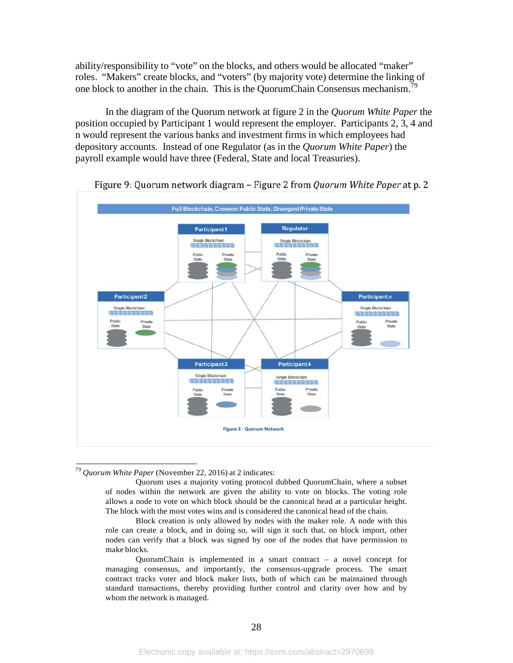ability/responsibility to "vote" on the blocks, and others would be allocated "maker" roles. "Makers" create blocks, and "voters" (by majority vote) determine the linking of one block to another in the chain. This is the QuorumChain Consensus mechanism.<sup>79</sup>

In the diagram of the Quorum network at figure 2 in the *Quorum White Paper* the position occupied by Participant 1 would represent the employer. Participants 2, 3, 4 and n would represent the various banks and investment firms in which employees had depository accounts. Instead of one Regulator (as in the *Quorum White Paper*) the payroll example would have three (Federal, State and local Treasuries).



Figure 9: Quorum network diagram - Figure 2 from Quorum White Paper at p. 2

<sup>79</sup> *Quorum White Paper* (November 22, 2016) at 2 indicates:

Quorum uses a majority voting protocol dubbed QuorumChain, where a subset of nodes within the network are given the ability to vote on blocks. The voting role allows a node to vote on which block should be the canonical head at a particular height. The block with the most votes wins and is considered the canonical head of the chain.

Block creation is only allowed by nodes with the maker role. A node with this role can create a block, and in doing so, will sign it such that, on block import, other nodes can verify that a block was signed by one of the nodes that have permission to make blocks.

QuorumChain is implemented in a smart contract – a novel concept for managing consensus, and importantly, the consensus-upgrade process. The smart contract tracks voter and block maker lists, both of which can be maintained through standard transactions, thereby providing further control and clarity over how and by whom the network is managed.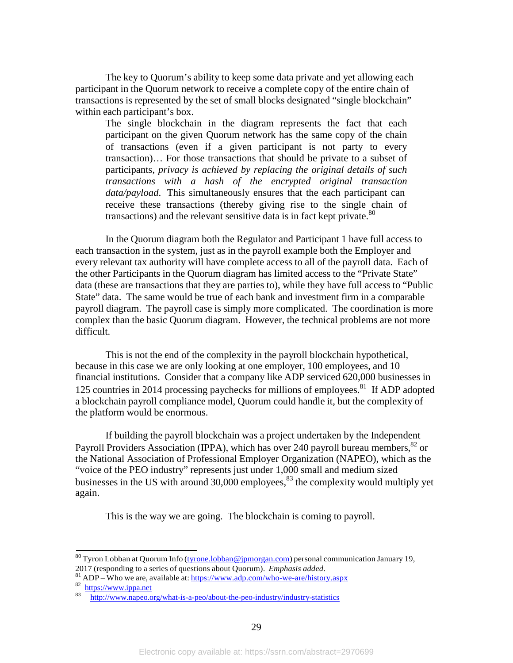The key to Quorum's ability to keep some data private and yet allowing each participant in the Quorum network to receive a complete copy of the entire chain of transactions is represented by the set of small blocks designated "single blockchain" within each participant's box.

The single blockchain in the diagram represents the fact that each participant on the given Quorum network has the same copy of the chain of transactions (even if a given participant is not party to every transaction)… For those transactions that should be private to a subset of participants, *privacy is achieved by replacing the original details of such transactions with a hash of the encrypted original transaction data/payload*. This simultaneously ensures that the each participant can receive these transactions (thereby giving rise to the single chain of transactions) and the relevant sensitive data is in fact kept private. $80$ 

In the Quorum diagram both the Regulator and Participant 1 have full access to each transaction in the system, just as in the payroll example both the Employer and every relevant tax authority will have complete access to all of the payroll data. Each of the other Participants in the Quorum diagram has limited access to the "Private State" data (these are transactions that they are parties to), while they have full access to "Public State" data. The same would be true of each bank and investment firm in a comparable payroll diagram. The payroll case is simply more complicated. The coordination is more complex than the basic Quorum diagram. However, the technical problems are not more difficult.

This is not the end of the complexity in the payroll blockchain hypothetical, because in this case we are only looking at one employer, 100 employees, and 10 financial institutions. Consider that a company like ADP serviced 620,000 businesses in 125 countries in 2014 processing paychecks for millions of employees.<sup>81</sup> If ADP adopted a blockchain payroll compliance model, Quorum could handle it, but the complexity of the platform would be enormous.

If building the payroll blockchain was a project undertaken by the Independent Payroll Providers Association (IPPA), which has over 240 payroll bureau members,  ${}^{82}$  or the National Association of Professional Employer Organization (NAPEO), which as the "voice of the PEO industry" represents just under 1,000 small and medium sized businesses in the US with around  $30,000$  employees,  $83$  the complexity would multiply yet again.

This is the way we are going. The blockchain is coming to payroll.

 $80$  Tyron Lobban at Quorum Info (tyrone.lobban @jpmorgan.com) personal communication January 19, 2017 (responding to a series of questions about Quorum). *Emphasis added*.<br><sup>81</sup> ADP – Who we are, available at: <u>https:/[/www.adp.com/who-we-are/history.aspx](http://www.adp.com/who-we-are/history.aspx)</u> 82 https:[//www.ippa.net](http://www.ippa.net/)<br>83 https://www.ippa.net

<http://www.napeo.org/what-is-a-peo/about-the-peo-industry/industry-statistics>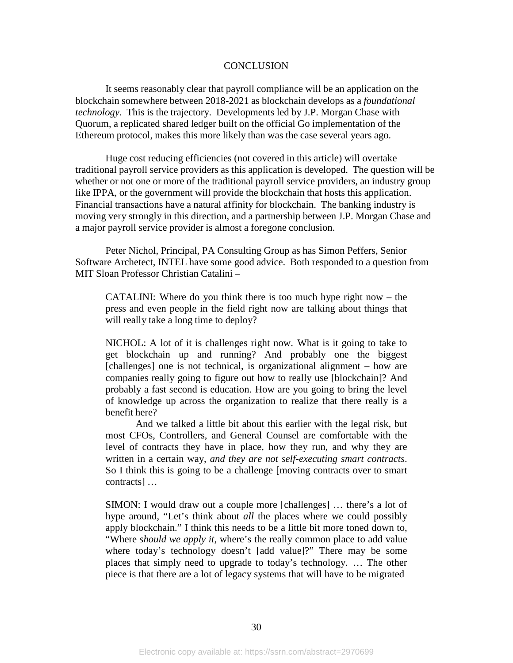#### **CONCLUSION**

It seems reasonably clear that payroll compliance will be an application on the blockchain somewhere between 2018-2021 as blockchain develops as a *foundational technology*. This is the trajectory. Developments led by J.P. Morgan Chase with Quorum, a replicated shared ledger built on the official Go implementation of the Ethereum protocol, makes this more likely than was the case several years ago.

Huge cost reducing efficiencies (not covered in this article) will overtake traditional payroll service providers as this application is developed. The question will be whether or not one or more of the traditional payroll service providers, an industry group like IPPA, or the government will provide the blockchain that hosts this application. Financial transactions have a natural affinity for blockchain. The banking industry is moving very strongly in this direction, and a partnership between J.P. Morgan Chase and a major payroll service provider is almost a foregone conclusion.

Peter Nichol, Principal, PA Consulting Group as has Simon Peffers, Senior Software Archetect, INTEL have some good advice. Both responded to a question from MIT Sloan Professor Christian Catalini –

CATALINI: Where do you think there is too much hype right now – the press and even people in the field right now are talking about things that will really take a long time to deploy?

NICHOL: A lot of it is challenges right now. What is it going to take to get blockchain up and running? And probably one the biggest [challenges] one is not technical, is organizational alignment – how are companies really going to figure out how to really use [blockchain]? And probably a fast second is education. How are you going to bring the level of knowledge up across the organization to realize that there really is a benefit here?

And we talked a little bit about this earlier with the legal risk, but most CFOs, Controllers, and General Counsel are comfortable with the level of contracts they have in place, how they run, and why they are written in a certain way, *and they are not self-executing smart contracts*. So I think this is going to be a challenge [moving contracts over to smart contracts] …

SIMON: I would draw out a couple more [challenges] … there's a lot of hype around, "Let's think about *all* the places where we could possibly apply blockchain." I think this needs to be a little bit more toned down to, "Where *should we apply it*, where's the really common place to add value where today's technology doesn't [add value]?" There may be some places that simply need to upgrade to today's technology. … The other piece is that there are a lot of legacy systems that will have to be migrated